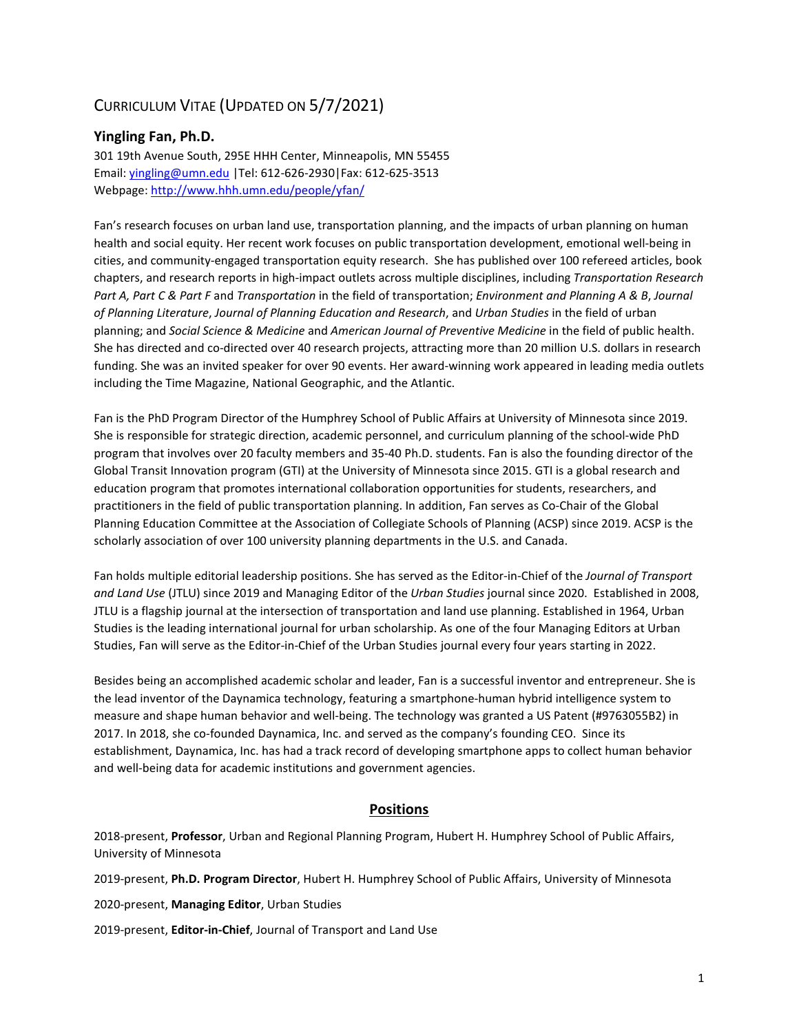# CURRICULUM VITAE (UPDATED ON 5/7/2021)

## **Yingling Fan, Ph.D.**

301 19th Avenue South, 295E HHH Center, Minneapolis, MN 55455 Email: [yingling@umn.edu](mailto:yingling@umn.edu) |Tel: 612-626-2930|Fax: 612-625-3513 Webpage:<http://www.hhh.umn.edu/people/yfan/>

Fan's research focuses on urban land use, transportation planning, and the impacts of urban planning on human health and social equity. Her recent work focuses on public transportation development, emotional well-being in cities, and community-engaged transportation equity research. She has published over 100 refereed articles, book chapters, and research reports in high-impact outlets across multiple disciplines, including *Transportation Research Part A, Part C & Part F* and *Transportation* in the field of transportation; *Environment and Planning A & B*, *Journal of Planning Literature*, *Journal of Planning Education and Research*, and *Urban Studies* in the field of urban planning; and *Social Science & Medicine* and *American Journal of Preventive Medicine* in the field of public health. She has directed and co-directed over 40 research projects, attracting more than 20 million U.S. dollars in research funding. She was an invited speaker for over 90 events. Her award-winning work appeared in leading media outlets including the Time Magazine, National Geographic, and the Atlantic.

Fan is the PhD Program Director of the Humphrey School of Public Affairs at University of Minnesota since 2019. She is responsible for strategic direction, academic personnel, and curriculum planning of the school-wide PhD program that involves over 20 faculty members and 35-40 Ph.D. students. Fan is also the founding director of the Global Transit Innovation program (GTI) at the University of Minnesota since 2015. GTI is a global research and education program that promotes international collaboration opportunities for students, researchers, and practitioners in the field of public transportation planning. In addition, Fan serves as Co-Chair of the Global Planning Education Committee at the Association of Collegiate Schools of Planning (ACSP) since 2019. ACSP is the scholarly association of over 100 university planning departments in the U.S. and Canada.

Fan holds multiple editorial leadership positions. She has served as the Editor-in-Chief of the *Journal of Transport and Land Use* (JTLU) since 2019 and Managing Editor of the *Urban Studies* journal since 2020. Established in 2008, JTLU is a flagship journal at the intersection of transportation and land use planning. Established in 1964, Urban Studies is the leading international journal for urban scholarship. As one of the four Managing Editors at Urban Studies, Fan will serve as the Editor-in-Chief of the Urban Studies journal every four years starting in 2022.

Besides being an accomplished academic scholar and leader, Fan is a successful inventor and entrepreneur. She is the lead inventor of the Daynamica technology, featuring a smartphone-human hybrid intelligence system to measure and shape human behavior and well-being. The technology was granted a US Patent (#9763055B2) in 2017. In 2018, she co-founded Daynamica, Inc. and served as the company's founding CEO. Since its establishment, Daynamica, Inc. has had a track record of developing smartphone apps to collect human behavior and well-being data for academic institutions and government agencies.

## **Positions**

2018-present, **Professor**, Urban and Regional Planning Program, Hubert H. Humphrey School of Public Affairs, University of Minnesota

2019-present, **Ph.D. Program Director**, Hubert H. Humphrey School of Public Affairs, University of Minnesota

2020-present, **Managing Editor**, Urban Studies

2019-present, **Editor-in-Chief**, Journal of Transport and Land Use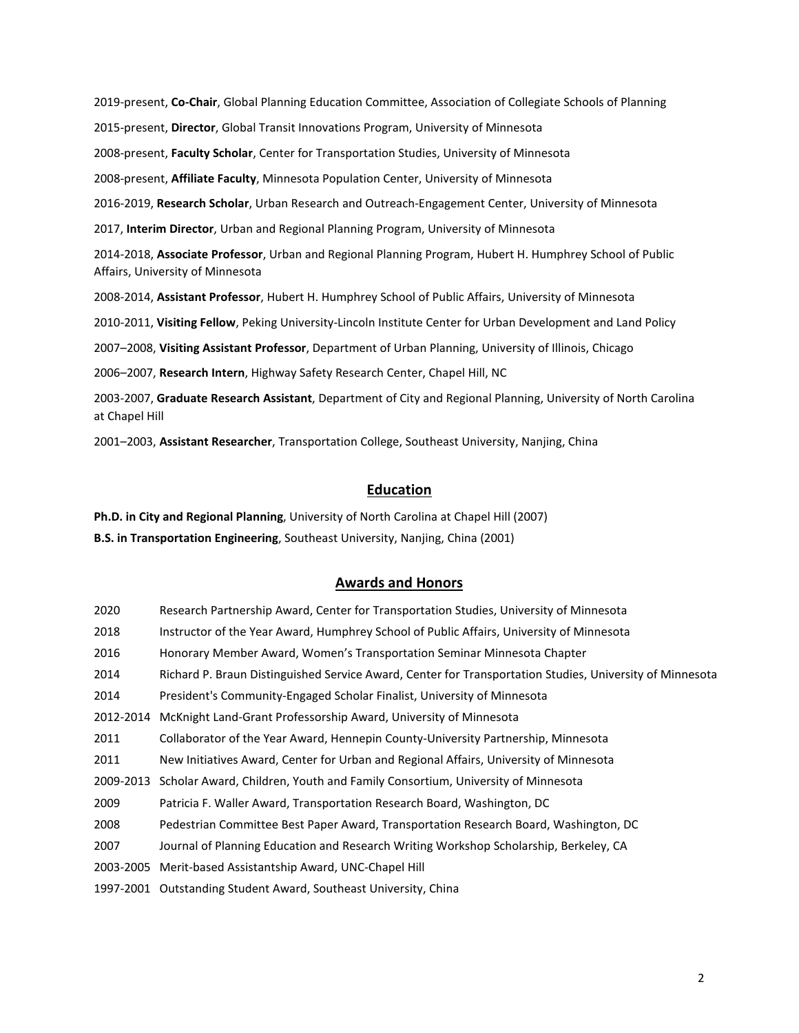2019-present, **Co-Chair**, Global Planning Education Committee, Association of Collegiate Schools of Planning 2015-present, **Director**, Global Transit Innovations Program, University of Minnesota 2008-present, **Faculty Scholar**, Center for Transportation Studies, University of Minnesota 2008-present, **Affiliate Faculty**, Minnesota Population Center, University of Minnesota 2016-2019, **Research Scholar**, Urban Research and Outreach-Engagement Center, University of Minnesota 2017, **Interim Director**, Urban and Regional Planning Program, University of Minnesota 2014-2018, **Associate Professor**, Urban and Regional Planning Program, Hubert H. Humphrey School of Public Affairs, University of Minnesota 2008-2014, **Assistant Professor**, Hubert H. Humphrey School of Public Affairs, University of Minnesota 2010-2011, **Visiting Fellow**, Peking University-Lincoln Institute Center for Urban Development and Land Policy 2007–2008, **Visiting Assistant Professor**, Department of Urban Planning, University of Illinois, Chicago 2006–2007, **Research Intern**, Highway Safety Research Center, Chapel Hill, NC 2003-2007, **Graduate Research Assistant**, Department of City and Regional Planning, University of North Carolina at Chapel Hill 2001–2003, **Assistant Researcher**, Transportation College, Southeast University, Nanjing, China

## **Education**

**Ph.D. in City and Regional Planning**, University of North Carolina at Chapel Hill (2007) **B.S. in Transportation Engineering**, Southeast University, Nanjing, China (2001)

## **Awards and Honors**

| 2020      | Research Partnership Award, Center for Transportation Studies, University of Minnesota                   |
|-----------|----------------------------------------------------------------------------------------------------------|
| 2018      | Instructor of the Year Award, Humphrey School of Public Affairs, University of Minnesota                 |
| 2016      | Honorary Member Award, Women's Transportation Seminar Minnesota Chapter                                  |
| 2014      | Richard P. Braun Distinguished Service Award, Center for Transportation Studies, University of Minnesota |
| 2014      | President's Community-Engaged Scholar Finalist, University of Minnesota                                  |
| 2012-2014 | McKnight Land-Grant Professorship Award, University of Minnesota                                         |
| 2011      | Collaborator of the Year Award, Hennepin County-University Partnership, Minnesota                        |
| 2011      | New Initiatives Award, Center for Urban and Regional Affairs, University of Minnesota                    |
| 2009-2013 | Scholar Award, Children, Youth and Family Consortium, University of Minnesota                            |
| 2009      | Patricia F. Waller Award, Transportation Research Board, Washington, DC                                  |
| 2008      | Pedestrian Committee Best Paper Award, Transportation Research Board, Washington, DC                     |
| 2007      | Journal of Planning Education and Research Writing Workshop Scholarship, Berkeley, CA                    |
| 2003-2005 | Merit-based Assistantship Award, UNC-Chapel Hill                                                         |
| 1997-2001 | Outstanding Student Award, Southeast University, China                                                   |
|           |                                                                                                          |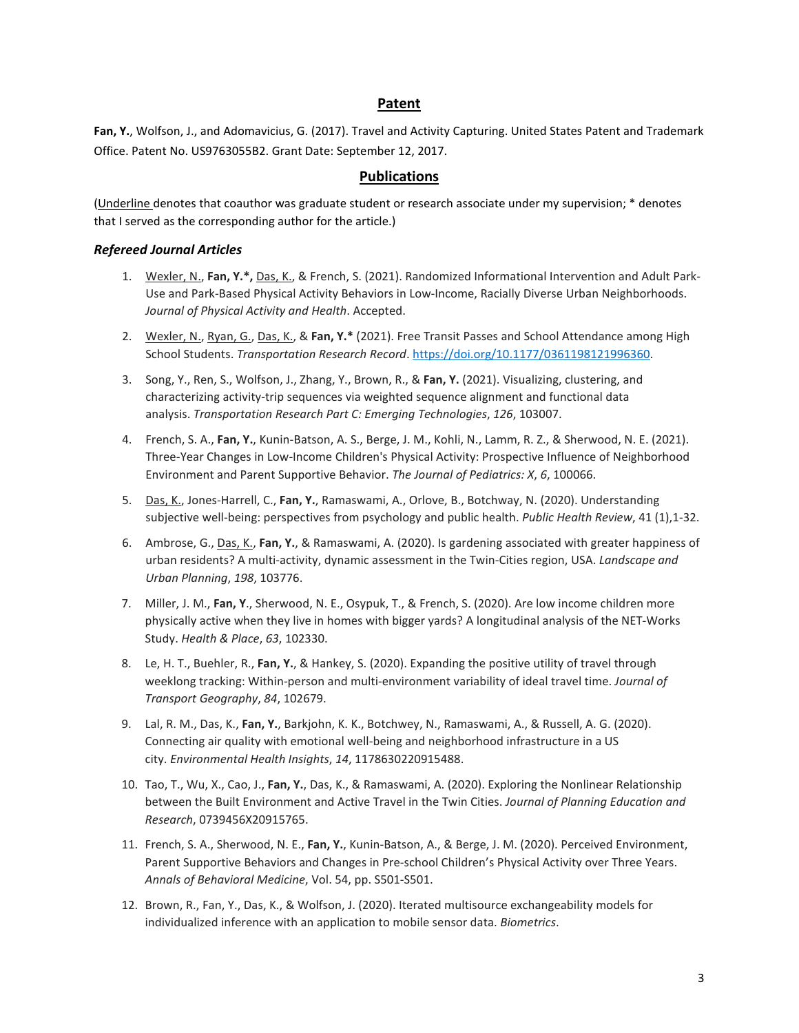## **Patent**

**Fan, Y.**, Wolfson, J., and Adomavicius, G. (2017). Travel and Activity Capturing. United States Patent and Trademark Office. Patent No. US9763055B2. Grant Date: September 12, 2017.

## **Publications**

(Underline denotes that coauthor was graduate student or research associate under my supervision; \* denotes that I served as the corresponding author for the article.)

### *Refereed Journal Articles*

- 1. Wexler, N., **Fan, Y.\*,** Das, K., & French, S. (2021). Randomized Informational Intervention and Adult Park-Use and Park-Based Physical Activity Behaviors in Low-Income, Racially Diverse Urban Neighborhoods. *Journal of Physical Activity and Health*. Accepted.
- 2. Wexler, N., Ryan, G., Das, K., & **Fan, Y.\*** (2021). Free Transit Passes and School Attendance among High School Students. *Transportation Research Record*[. https://doi.org/10.1177/0361198121996360.](https://doi.org/10.1177%2F0361198121996360)
- 3. Song, Y., Ren, S., Wolfson, J., Zhang, Y., Brown, R., & **Fan, Y.** (2021). Visualizing, clustering, and characterizing activity-trip sequences via weighted sequence alignment and functional data analysis. *Transportation Research Part C: Emerging Technologies*, *126*, 103007.
- 4. French, S. A., **Fan, Y.**, Kunin-Batson, A. S., Berge, J. M., Kohli, N., Lamm, R. Z., & Sherwood, N. E. (2021). Three-Year Changes in Low-Income Children's Physical Activity: Prospective Influence of Neighborhood Environment and Parent Supportive Behavior. *The Journal of Pediatrics: X*, *6*, 100066.
- 5. Das, K., Jones-Harrell, C., **Fan, Y.**, Ramaswami, A., Orlove, B., Botchway, N. (2020). Understanding subjective well-being: perspectives from psychology and public health. *Public Health Review*, 41 (1),1-32.
- 6. Ambrose, G., Das, K., **Fan, Y.**, & Ramaswami, A. (2020). Is gardening associated with greater happiness of urban residents? A multi-activity, dynamic assessment in the Twin-Cities region, USA. *Landscape and Urban Planning*, *198*, 103776.
- 7. Miller, J. M., **Fan, Y**., Sherwood, N. E., Osypuk, T., & French, S. (2020). Are low income children more physically active when they live in homes with bigger yards? A longitudinal analysis of the NET-Works Study. *Health & Place*, *63*, 102330.
- 8. Le, H. T., Buehler, R., **Fan, Y.**, & Hankey, S. (2020). Expanding the positive utility of travel through weeklong tracking: Within-person and multi-environment variability of ideal travel time. *Journal of Transport Geography*, *84*, 102679.
- 9. Lal, R. M., Das, K., **Fan, Y.**, Barkjohn, K. K., Botchwey, N., Ramaswami, A., & Russell, A. G. (2020). Connecting air quality with emotional well-being and neighborhood infrastructure in a US city. *Environmental Health Insights*, *14*, 1178630220915488.
- 10. Tao, T., Wu, X., Cao, J., **Fan, Y.**, Das, K., & Ramaswami, A. (2020). Exploring the Nonlinear Relationship between the Built Environment and Active Travel in the Twin Cities. *Journal of Planning Education and Research*, 0739456X20915765.
- 11. French, S. A., Sherwood, N. E., **Fan, Y.**, Kunin-Batson, A., & Berge, J. M. (2020). Perceived Environment, Parent Supportive Behaviors and Changes in Pre-school Children's Physical Activity over Three Years. *Annals of Behavioral Medicine*, Vol. 54, pp. S501-S501.
- 12. Brown, R., Fan, Y., Das, K., & Wolfson, J. (2020). Iterated multisource exchangeability models for individualized inference with an application to mobile sensor data. *Biometrics*.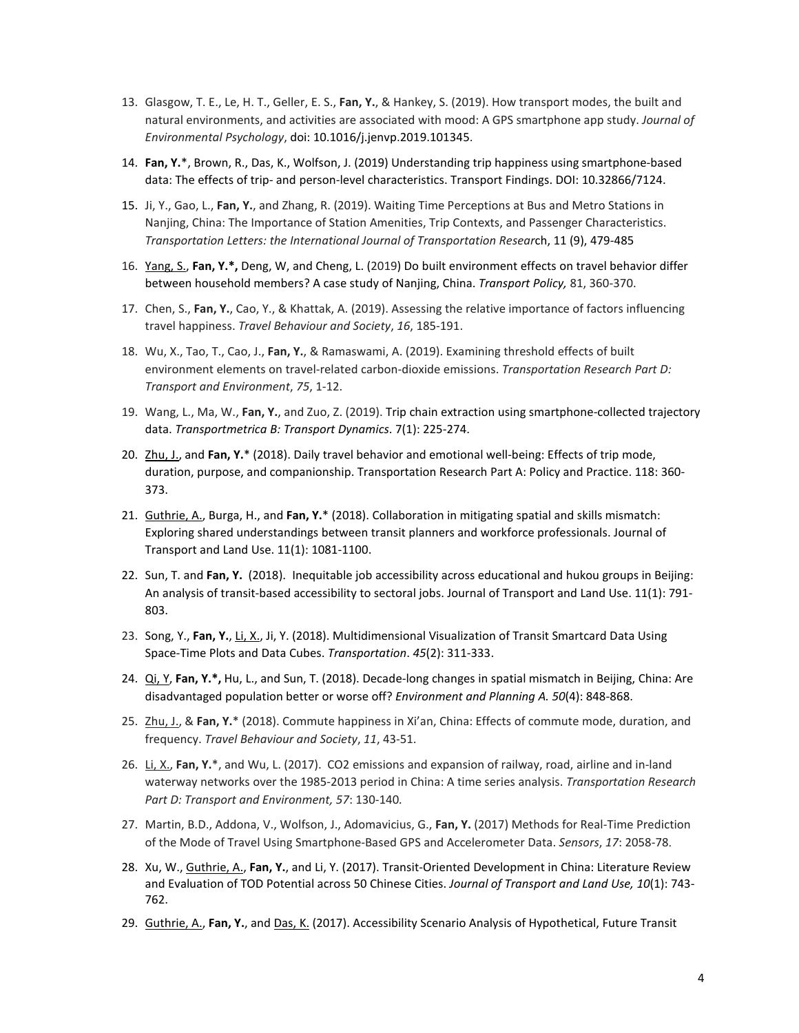- 13. Glasgow, T. E., Le, H. T., Geller, E. S., **Fan, Y.**, & Hankey, S. (2019). How transport modes, the built and natural environments, and activities are associated with mood: A GPS smartphone app study. *Journal of Environmental Psychology*, doi: 10.1016/j.jenvp.2019.101345.
- 14. **Fan, Y.**\*, Brown, R., Das, K., Wolfson, J. (2019) Understanding trip happiness using smartphone-based data: The effects of trip- and person-level characteristics. Transport Findings. DOI: 10.32866/7124.
- 15. Ji, Y., Gao, L., **Fan, Y.**, and Zhang, R. (2019). Waiting Time Perceptions at Bus and Metro Stations in Nanjing, China: The Importance of Station Amenities, Trip Contexts, and Passenger Characteristics. *Transportation Letters: the International Journal of Transportation Resear*ch, 11 (9), 479-485
- 16. Yang, S., **Fan, Y.\*,** Deng, W, and Cheng, L. (2019) Do built environment effects on travel behavior differ between household members? A case study of Nanjing, China. *Transport Policy,* [81,](https://doi.org/10.1016/j.tranpol.2017.12.006) 360-370.
- 17. Chen, S., **Fan, Y.**, Cao, Y., & Khattak, A. (2019). Assessing the relative importance of factors influencing travel happiness. *Travel Behaviour and Society*, *16*, 185-191.
- 18. Wu, X., Tao, T., Cao, J., **Fan, Y.**, & Ramaswami, A. (2019). Examining threshold effects of built environment elements on travel-related carbon-dioxide emissions. *Transportation Research Part D: Transport and Environment*, *75*, 1-12.
- 19. Wang, L., Ma, W., **Fan, Y.**, and Zuo, Z. (2019). Trip chain extraction using smartphone-collected trajectory data. *Transportmetrica B: Transport Dynamics*. 7(1): 225-274.
- 20. Zhu, J., and **Fan, Y.**\* (2018). Daily travel behavior and emotional well-being: Effects of trip mode, duration, purpose, and companionship. Transportation Research Part A: Policy and Practice. 118: 360- 373.
- 21. Guthrie, A., Burga, H., and **Fan, Y.**\* (2018). Collaboration in mitigating spatial and skills mismatch: Exploring shared understandings between transit planners and workforce professionals. Journal of Transport and Land Use. 11(1): 1081-1100.
- 22. Sun, T. and **Fan, Y.** (2018). Inequitable job accessibility across educational and hukou groups in Beijing: An analysis of transit-based accessibility to sectoral jobs. Journal of Transport and Land Use. 11(1): 791- 803.
- 23. Song, Y., **Fan, Y.**, Li, X., Ji, Y. (2018). Multidimensional Visualization of Transit Smartcard Data Using Space-Time Plots and Data Cubes. *Transportation*. *45*(2): 311-333.
- 24. Qi, Y, **Fan, Y.\*,** Hu, L., and Sun, T. (2018). Decade-long changes in spatial mismatch in Beijing, China: Are disadvantaged population better or worse off? *Environment and Planning A. 50*(4): 848-868.
- 25. Zhu, J., & **Fan, Y.**\* (2018). Commute happiness in Xi'an, China: Effects of commute mode, duration, and frequency. *Travel Behaviour and Society*, *11*, 43-51.
- 26. Li, X., **Fan, Y.**\*, and Wu, L. (2017). CO2 emissions and expansion of railway, road, airline and in-land waterway networks over the 1985-2013 period in China: A time series analysis. *Transportation Research Part D: Transport and Environment, 57*: 130-140*.*
- 27. Martin, B.D., Addona, V., Wolfson, J., Adomavicius, G., **Fan, Y.** (2017) Methods for Real-Time Prediction of the Mode of Travel Using Smartphone-Based GPS and Accelerometer Data. *Sensors*, *17*: 2058-78.
- 28. Xu, W., Guthrie, A., **Fan, Y.**, and Li, Y. (2017). Transit-Oriented Development in China: Literature Review and Evaluation of TOD Potential across 50 Chinese Cities. *Journal of Transport and Land Use, 10*(1): 743- 762.
- 29. Guthrie, A., **Fan, Y.**, and Das, K. (2017). Accessibility Scenario Analysis of Hypothetical, Future Transit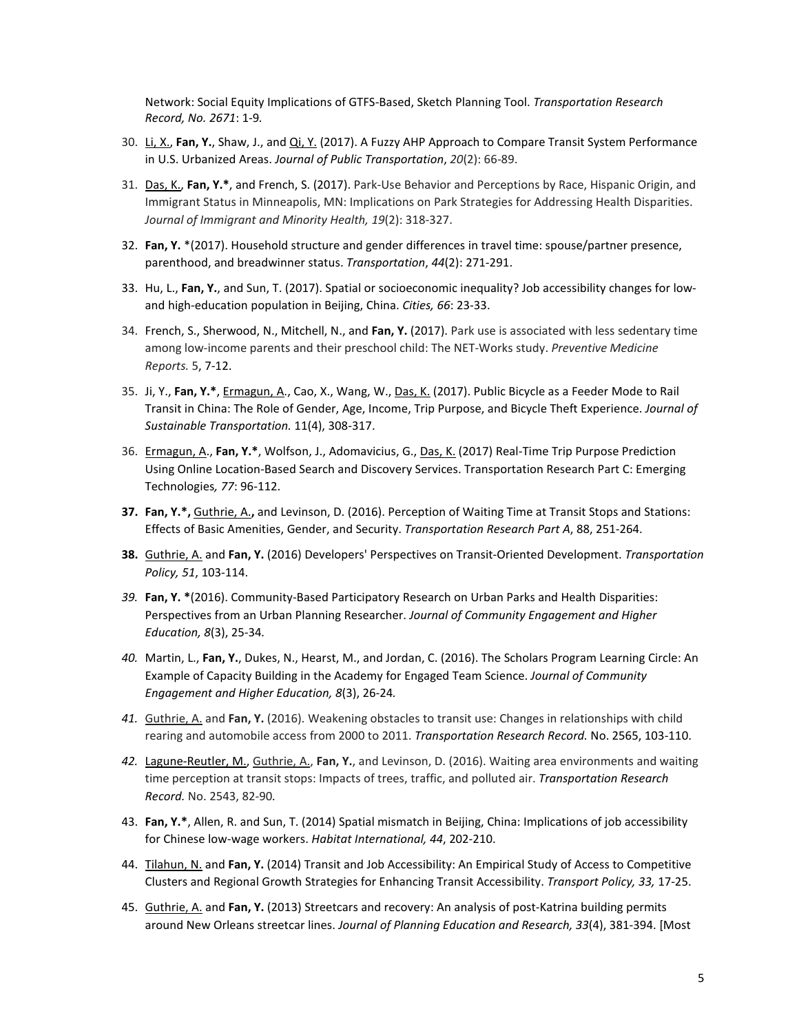Network: Social Equity Implications of GTFS-Based, Sketch Planning Tool. *Transportation Research Record, No. 2671*: 1-9*.*

- 30. Li, X., **Fan, Y.**, Shaw, J., and Qi, Y. (2017). A Fuzzy AHP Approach to Compare Transit System Performance in U.S. Urbanized Areas. *Journal of Public Transportation*, *20*(2): 66-89.
- 31. Das, K., **Fan, Y.\***, and French, S. (2017). Park-Use Behavior and Perceptions by Race, Hispanic Origin, and Immigrant Status in Minneapolis, MN: Implications on Park Strategies for Addressing Health Disparities. *Journal of Immigrant and Minority Health, 19*(2): 318-327.
- 32. **Fan, Y.** \*(2017). Household structure and gender differences in travel time: spouse/partner presence, parenthood, and breadwinner status. *Transportation*, *44*(2): 271-291.
- 33. Hu, L., **Fan, Y.**, and Sun, T. (2017). Spatial or socioeconomic inequality? Job accessibility changes for lowand high-education population in Beijing, China. *Cities, 66*: 23-33.
- 34. French, S., Sherwood, N., Mitchell, N., and **Fan, Y.** (2017). Park use is associated with less sedentary time among low-income parents and their preschool child: The NET-Works study. *Preventive Medicine Reports.* 5, 7-12.
- 35. Ji, Y., **Fan, Y.\***, Ermagun, A., Cao, X., Wang, W., Das, K. (2017). Public Bicycle as a Feeder Mode to Rail Transit in China: The Role of Gender, Age, Income, Trip Purpose, and Bicycle Theft Experience. *Journal of Sustainable Transportation.* 11(4), 308-317.
- 36. Ermagun, A., **Fan, Y.\***, Wolfson, J., Adomavicius, G., Das, K. (2017) Real-Time Trip Purpose Prediction Using Online Location-Based Search and Discovery Services. Transportation Research Part C: Emerging Technologies*, 77*: 96-112.
- **37. Fan, Y.\*,** Guthrie, A.**,** and Levinson, D. (2016). Perception of Waiting Time at Transit Stops and Stations: Effects of Basic Amenities, Gender, and Security. *Transportation Research Part A*, 88, 251-264.
- **38.** Guthrie, A. and **Fan, Y.** (2016) Developers' Perspectives on Transit-Oriented Development. *Transportation Policy, 51*, 103-114.
- *39.* **Fan, Y. \***(2016). Community-Based Participatory Research on Urban Parks and Health Disparities: Perspectives from an Urban Planning Researcher. *Journal of Community Engagement and Higher Education, 8*(3), 25-34*.*
- *40.* Martin, L., **Fan, Y.**, Dukes, N., Hearst, M., and Jordan, C. (2016). The Scholars Program Learning Circle: An Example of Capacity Building in the Academy for Engaged Team Science. *Journal of Community Engagement and Higher Education, 8*(3), 26-24*.*
- *41.* Guthrie, A. and **Fan, Y.** (2016). Weakening obstacles to transit use: Changes in relationships with child rearing and automobile access from 2000 to 2011. *Transportation Research Record.* No. 2565, 103-110.
- *42.* Lagune-Reutler, M., Guthrie, A., **Fan, Y.**, and Levinson, D. (2016). Waiting area environments and waiting time perception at transit stops: Impacts of trees, traffic, and polluted air. *Transportation Research Record.* No. 2543, 82-90*.*
- 43. **Fan, Y.\***, Allen, R. and Sun, T. (2014) Spatial mismatch in Beijing, China: Implications of job accessibility for Chinese low-wage workers. *Habitat International, 44*, 202-210.
- 44. Tilahun, N. and **Fan, Y.** (2014) Transit and Job Accessibility: An Empirical Study of Access to Competitive Clusters and Regional Growth Strategies for Enhancing Transit Accessibility. *Transport Policy, 33,* 17-25.
- 45. Guthrie, A. and **Fan, Y.** (2013) Streetcars and recovery: An analysis of post-Katrina building permits around New Orleans streetcar lines. *Journal of Planning Education and Research, 33*(4), 381-394. [Most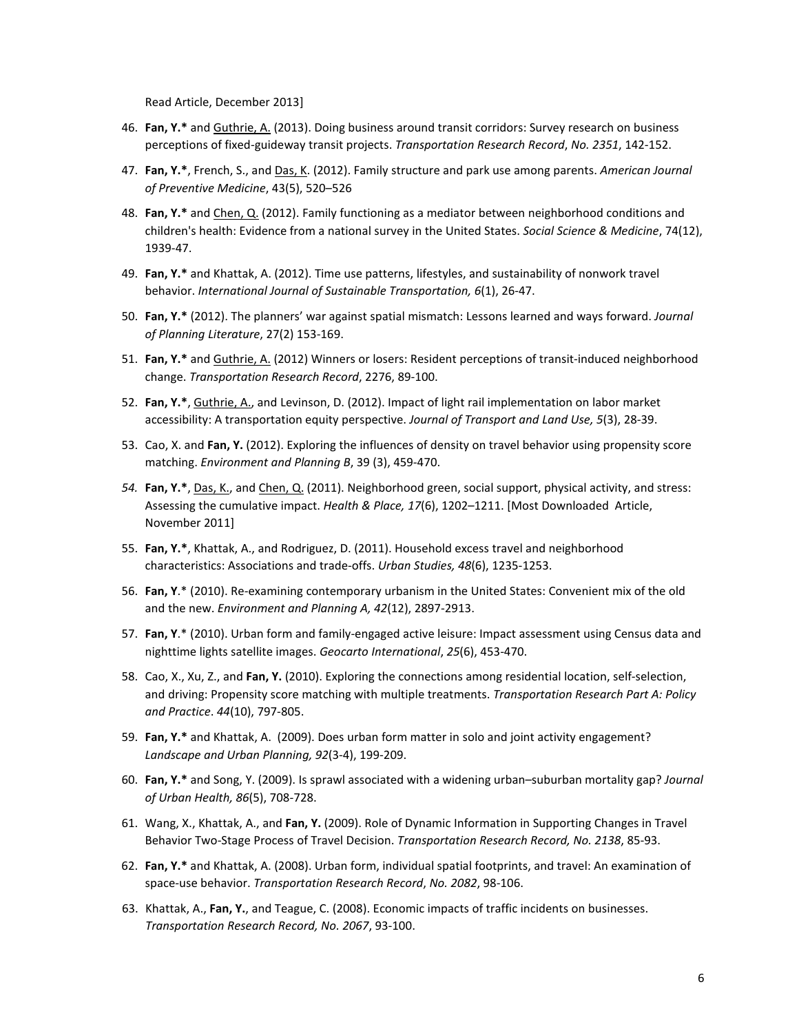Read Article, December 2013]

- 46. **Fan, Y.\*** and Guthrie, A. (2013). Doing business around transit corridors: Survey research on business perceptions of fixed-guideway transit projects. *Transportation Research Record*, *No. 2351*, 142-152.
- 47. **Fan, Y.\***, French, S., and Das, K. (2012). Family structure and park use among parents. *American Journal of Preventive Medicine*, 43(5), 520–526
- 48. **Fan, Y.\*** and Chen, Q. (2012). Family functioning as a mediator between neighborhood conditions and children's health: Evidence from a national survey in the United States. *Social Science & Medicine*, 74(12), 1939-47.
- 49. **Fan, Y.\*** and Khattak, A. (2012). Time use patterns, lifestyles, and sustainability of nonwork travel behavior. *International Journal of Sustainable Transportation, 6*(1), 26-47.
- 50. **Fan, Y.\*** (2012). The planners' war against spatial mismatch: Lessons learned and ways forward. *Journal of Planning Literature*, 27(2) 153-169.
- 51. **Fan, Y.\*** and Guthrie, A. (2012) Winners or losers: Resident perceptions of transit-induced neighborhood change. *Transportation Research Record*, 2276, 89-100.
- 52. **Fan, Y.\***, Guthrie, A., and Levinson, D. (2012). Impact of light rail implementation on labor market accessibility: A transportation equity perspective. *Journal of Transport and Land Use, 5*(3), 28-39.
- 53. Cao, X. and **Fan, Y.** (2012). Exploring the influences of density on travel behavior using propensity score matching. *Environment and Planning B*, 39 (3), 459-470.
- *54.* **Fan, Y.\***, Das, K., and Chen, Q. (2011). Neighborhood green, social support, physical activity, and stress: Assessing the cumulative impact. *Health & Place, 17*(6), 1202–1211. [Most Downloaded Article, November 2011]
- 55. **Fan, Y.\***, Khattak, A., and Rodriguez, D. (2011). Household excess travel and neighborhood characteristics: Associations and trade-offs. *Urban Studies, 48*(6), 1235-1253.
- 56. **Fan, Y**.\* (2010). Re-examining contemporary urbanism in the United States: Convenient mix of the old and the new. *Environment and Planning A, 42*(12), 2897-2913.
- 57. **Fan, Y**.\* (2010). Urban form and family-engaged active leisure: Impact assessment using Census data and nighttime lights satellite images. *Geocarto International*, *25*(6), 453-470.
- 58. Cao, X., Xu, Z., and **Fan, Y.** (2010). Exploring the connections among residential location, self-selection, and driving: Propensity score matching with multiple treatments. *Transportation Research Part A: Policy and Practice*. *44*(10), 797-805.
- 59. **Fan, Y.\*** and Khattak, A. (2009). Does urban form matter in solo and joint activity engagement? *Landscape and Urban Planning, 92*(3-4), 199-209.
- 60. **Fan, Y.\*** and Song, Y. (2009). Is sprawl associated with a widening urban–suburban mortality gap? *Journal of Urban Health, 86*(5), 708-728.
- 61. Wang, X., Khattak, A., and **Fan, Y.** (2009). Role of Dynamic Information in Supporting Changes in Travel Behavior Two-Stage Process of Travel Decision. *Transportation Research Record, No. 2138*, 85-93.
- 62. **Fan, Y.\*** and Khattak, A. (2008). Urban form, individual spatial footprints, and travel: An examination of space-use behavior. *Transportation Research Record*, *No. 2082*, 98-106.
- 63. Khattak, A., **Fan, Y.**, and Teague, C. (2008). Economic impacts of traffic incidents on businesses. *Transportation Research Record, No. 2067*, 93-100.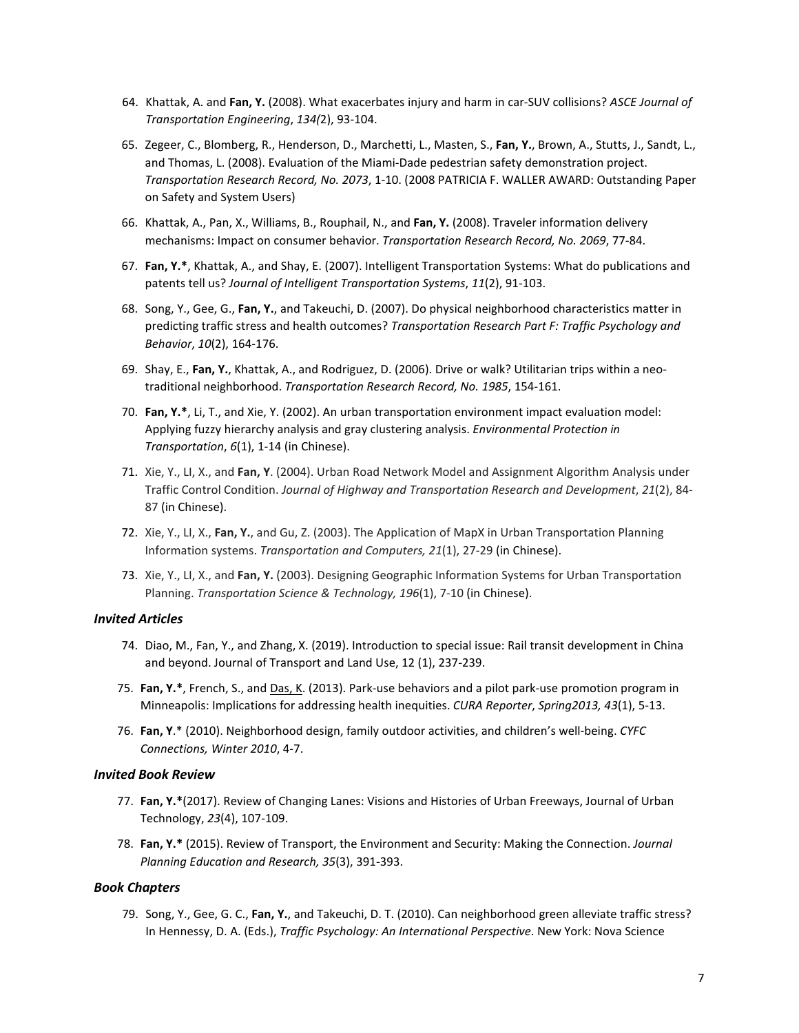- 64. Khattak, A. and **Fan, Y.** (2008). What exacerbates injury and harm in car-SUV collisions? *ASCE Journal of Transportation Engineering*, *134(*2), 93-104.
- 65. Zegeer, C., Blomberg, R., Henderson, D., Marchetti, L., Masten, S., **Fan, Y.**, Brown, A., Stutts, J., Sandt, L., and Thomas, L. (2008). Evaluation of the Miami-Dade pedestrian safety demonstration project. *Transportation Research Record, No. 2073*, 1-10. (2008 PATRICIA F. WALLER AWARD: Outstanding Paper on Safety and System Users)
- 66. Khattak, A., Pan, X., Williams, B., Rouphail, N., and **Fan, Y.** (2008). Traveler information delivery mechanisms: Impact on consumer behavior. *Transportation Research Record, No. 2069*, 77-84.
- 67. **Fan, Y.\***, Khattak, A., and Shay, E. (2007). Intelligent Transportation Systems: What do publications and patents tell us? *Journal of Intelligent Transportation Systems*, *11*(2), 91-103.
- 68. Song, Y., Gee, G., **Fan, Y.**, and Takeuchi, D. (2007). Do physical neighborhood characteristics matter in predicting traffic stress and health outcomes? *Transportation Research Part F: Traffic Psychology and Behavior*, *10*(2), 164-176.
- 69. Shay, E., **Fan, Y.**, Khattak, A., and Rodriguez, D. (2006). Drive or walk? Utilitarian trips within a neotraditional neighborhood. *Transportation Research Record, No. 1985*, 154-161.
- 70. **Fan, Y.\***, Li, T., and Xie, Y. (2002). An urban transportation environment impact evaluation model: Applying fuzzy hierarchy analysis and gray clustering analysis. *Environmental Protection in Transportation*, *6*(1), 1-14 (in Chinese).
- 71. Xie, Y., LI, X., and **Fan, Y**. (2004). Urban Road Network Model and Assignment Algorithm Analysis under Traffic Control Condition. *Journal of Highway and Transportation Research and Development*, *21*(2), 84- 87 (in Chinese).
- 72. Xie, Y., LI, X., **Fan, Y.**, and Gu, Z. (2003). The Application of MapX in Urban Transportation Planning Information systems. *Transportation and Computers, 21*(1), 27-29 (in Chinese).
- 73. Xie, Y., LI, X., and **Fan, Y.** (2003). Designing Geographic Information Systems for Urban Transportation Planning. *Transportation Science & Technology, 196*(1), 7-10 (in Chinese).

#### *Invited Articles*

- 74. Diao, M., Fan, Y., and Zhang, X. (2019). Introduction to special issue: Rail transit development in China and beyond. Journal of Transport and Land Use, 12 (1), 237-239.
- 75. **Fan, Y.\***, French, S., and Das, K. (2013). Park-use behaviors and a pilot park-use promotion program in Minneapolis: Implications for addressing health inequities. *CURA Reporter*, *Spring2013, 43*(1), 5-13.
- 76. **Fan, Y**.\* (2010). Neighborhood design, family outdoor activities, and children's well-being. *CYFC Connections, Winter 2010*, 4-7.

#### *Invited Book Review*

- 77. **Fan, Y.\***(2017). Review of Changing Lanes: Visions and Histories of Urban Freeways, Journal of Urban Technology, *23*(4), 107-109.
- 78. **Fan, Y.\*** (2015). Review of Transport, the Environment and Security: Making the Connection. *Journal Planning Education and Research, 35*(3), 391-393.

#### *Book Chapters*

79. Song, Y., Gee, G. C., **Fan, Y.**, and Takeuchi, D. T. (2010). Can neighborhood green alleviate traffic stress? In Hennessy, D. A. (Eds.), *Traffic Psychology: An International Perspective*. New York: Nova Science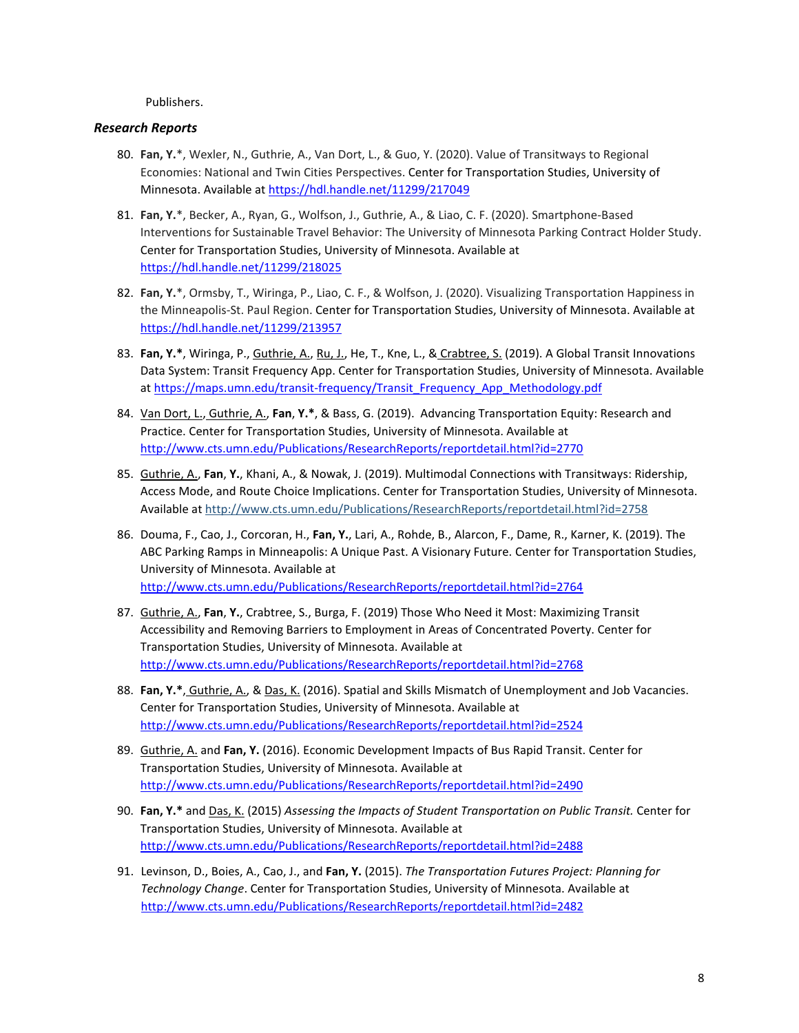Publishers.

## *Research Reports*

- 80. **Fan, Y.**\*, Wexler, N., Guthrie, A., Van Dort, L., & Guo, Y. (2020). Value of Transitways to Regional Economies: National and Twin Cities Perspectives. Center for Transportation Studies, University of Minnesota. Available at<https://hdl.handle.net/11299/217049>
- 81. **Fan, Y.**\*, Becker, A., Ryan, G., Wolfson, J., Guthrie, A., & Liao, C. F. (2020). Smartphone-Based Interventions for Sustainable Travel Behavior: The University of Minnesota Parking Contract Holder Study. Center for Transportation Studies, University of Minnesota. Available at <https://hdl.handle.net/11299/218025>
- 82. **Fan, Y.**\*, Ormsby, T., Wiringa, P., Liao, C. F., & Wolfson, J. (2020). Visualizing Transportation Happiness in the Minneapolis-St. Paul Region. Center for Transportation Studies, University of Minnesota. Available at <https://hdl.handle.net/11299/213957>
- 83. **Fan, Y.\***, Wiringa, P., Guthrie, A., Ru, J., He, T., Kne, L., & Crabtree, S. (2019). A Global Transit Innovations Data System: Transit Frequency App. Center for Transportation Studies, University of Minnesota. Available at [https://maps.umn.edu/transit-frequency/Transit\\_Frequency\\_App\\_Methodology.pdf](https://maps.umn.edu/transit-frequency/Transit_Frequency_App_Methodology.pdf)
- 84. Van Dort, L., Guthrie, A., **Fan**, **Y.\***, & Bass, G. (2019). Advancing Transportation Equity: Research and Practice. Center for Transportation Studies, University of Minnesota. Available at <http://www.cts.umn.edu/Publications/ResearchReports/reportdetail.html?id=2770>
- 85. Guthrie, A., **Fan**, **Y.**, Khani, A., & Nowak, J. (2019). Multimodal Connections with Transitways: Ridership, Access Mode, and Route Choice Implications. Center for Transportation Studies, University of Minnesota. Available at <http://www.cts.umn.edu/Publications/ResearchReports/reportdetail.html?id=2758>
- 86. Douma, F., Cao, J., Corcoran, H., **Fan, Y.**, Lari, A., Rohde, B., Alarcon, F., Dame, R., Karner, K. (2019). The ABC Parking Ramps in Minneapolis: A Unique Past. A Visionary Future. Center for Transportation Studies, University of Minnesota. Available at <http://www.cts.umn.edu/Publications/ResearchReports/reportdetail.html?id=2764>
- 87. Guthrie, A., **Fan**, **Y.**, Crabtree, S., Burga, F. (2019) Those Who Need it Most: Maximizing Transit Accessibility and Removing Barriers to Employment in Areas of Concentrated Poverty. Center for Transportation Studies, University of Minnesota. Available at <http://www.cts.umn.edu/Publications/ResearchReports/reportdetail.html?id=2768>
- 88. **Fan, Y.\***, Guthrie, A., & Das, K. (2016). Spatial and Skills Mismatch of Unemployment and Job Vacancies. Center for Transportation Studies, University of Minnesota. Available at <http://www.cts.umn.edu/Publications/ResearchReports/reportdetail.html?id=2524>
- 89. Guthrie, A. and **Fan, Y.** (2016). Economic Development Impacts of Bus Rapid Transit. Center for Transportation Studies, University of Minnesota. Available at <http://www.cts.umn.edu/Publications/ResearchReports/reportdetail.html?id=2490>
- 90. **Fan, Y.\*** and Das, K. (2015) *Assessing the Impacts of Student Transportation on Public Transit.* Center for Transportation Studies, University of Minnesota. Available at <http://www.cts.umn.edu/Publications/ResearchReports/reportdetail.html?id=2488>
- 91. Levinson, D., Boies, A., Cao, J., and **Fan, Y.** (2015). *The Transportation Futures Project: Planning for Technology Change*. Center for Transportation Studies, University of Minnesota. Available at <http://www.cts.umn.edu/Publications/ResearchReports/reportdetail.html?id=2482>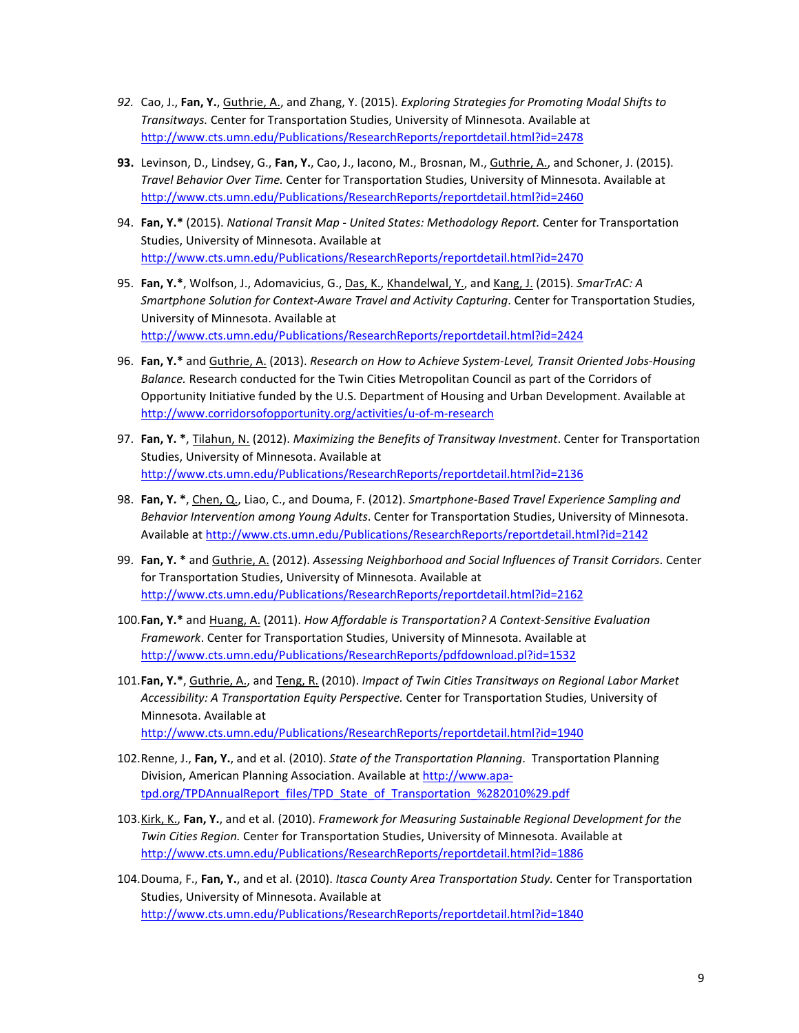- *92.* Cao, J., **Fan, Y.**, Guthrie, A., and Zhang, Y. (2015). *Exploring Strategies for Promoting Modal Shifts to Transitways.* Center for Transportation Studies, University of Minnesota. Available at <http://www.cts.umn.edu/Publications/ResearchReports/reportdetail.html?id=2478>
- **93.** Levinson, D., Lindsey, G., **Fan, Y.**, Cao, J., Iacono, M., Brosnan, M., Guthrie, A., and Schoner, J. (2015). *Travel Behavior Over Time.* Center for Transportation Studies, University of Minnesota. Available at <http://www.cts.umn.edu/Publications/ResearchReports/reportdetail.html?id=2460>
- 94. **Fan, Y.\*** (2015). *National Transit Map - United States: Methodology Report.* Center for Transportation Studies, University of Minnesota. Available at <http://www.cts.umn.edu/Publications/ResearchReports/reportdetail.html?id=2470>
- 95. **Fan, Y.\***, Wolfson, J., Adomavicius, G., Das, K., Khandelwal, Y., and Kang, J. (2015). *SmarTrAC: A Smartphone Solution for Context-Aware Travel and Activity Capturing*. Center for Transportation Studies, University of Minnesota. Available at <http://www.cts.umn.edu/Publications/ResearchReports/reportdetail.html?id=2424>
- 96. **Fan, Y.\*** and Guthrie, A. (2013). *Research on How to Achieve System-Level, Transit Oriented Jobs-Housing Balance.* Research conducted for the Twin Cities Metropolitan Council as part of the Corridors of Opportunity Initiative funded by the U.S. Department of Housing and Urban Development. Available at <http://www.corridorsofopportunity.org/activities/u-of-m-research>
- 97. **Fan, Y. \***, Tilahun, N. (2012). *Maximizing the Benefits of Transitway Investment*. Center for Transportation Studies, University of Minnesota. Available at <http://www.cts.umn.edu/Publications/ResearchReports/reportdetail.html?id=2136>
- 98. **Fan, Y. \***, Chen, Q., Liao, C., and Douma, F. (2012). *Smartphone-Based Travel Experience Sampling and Behavior Intervention among Young Adults*. Center for Transportation Studies, University of Minnesota. Available at <http://www.cts.umn.edu/Publications/ResearchReports/reportdetail.html?id=2142>
- 99. **Fan, Y. \*** and Guthrie, A. (2012). *Assessing Neighborhood and Social Influences of Transit Corridors*. Center for Transportation Studies, University of Minnesota. Available at <http://www.cts.umn.edu/Publications/ResearchReports/reportdetail.html?id=2162>
- 100.**Fan, Y.\*** and Huang, A. (2011). *How Affordable is Transportation? A Context-Sensitive Evaluation Framework*. Center for Transportation Studies, University of Minnesota. Available at <http://www.cts.umn.edu/Publications/ResearchReports/pdfdownload.pl?id=1532>
- 101.**Fan, Y.\***, Guthrie, A., and Teng, R. (2010). *Impact of Twin Cities Transitways on Regional Labor Market Accessibility: A Transportation Equity Perspective.* Center for Transportation Studies, University of Minnesota. Available at <http://www.cts.umn.edu/Publications/ResearchReports/reportdetail.html?id=1940>
- 102.Renne, J., **Fan, Y.**, and et al. (2010). *State of the Transportation Planning*. Transportation Planning Division, American Planning Association. Available at [http://www.apa](http://www.apa-tpd.org/TPDAnnualReport_files/TPD_State_of_Transportation_%282010%29.pdf)[tpd.org/TPDAnnualReport\\_files/TPD\\_State\\_of\\_Transportation\\_%282010%29.pdf](http://www.apa-tpd.org/TPDAnnualReport_files/TPD_State_of_Transportation_%282010%29.pdf)
- 103.Kirk, K., **Fan, Y.**, and et al. (2010). *Framework for Measuring Sustainable Regional Development for the Twin Cities Region.* Center for Transportation Studies, University of Minnesota. Available at <http://www.cts.umn.edu/Publications/ResearchReports/reportdetail.html?id=1886>
- 104.Douma, F., **Fan, Y.**, and et al. (2010). *Itasca County Area Transportation Study.* Center for Transportation Studies, University of Minnesota. Available at <http://www.cts.umn.edu/Publications/ResearchReports/reportdetail.html?id=1840>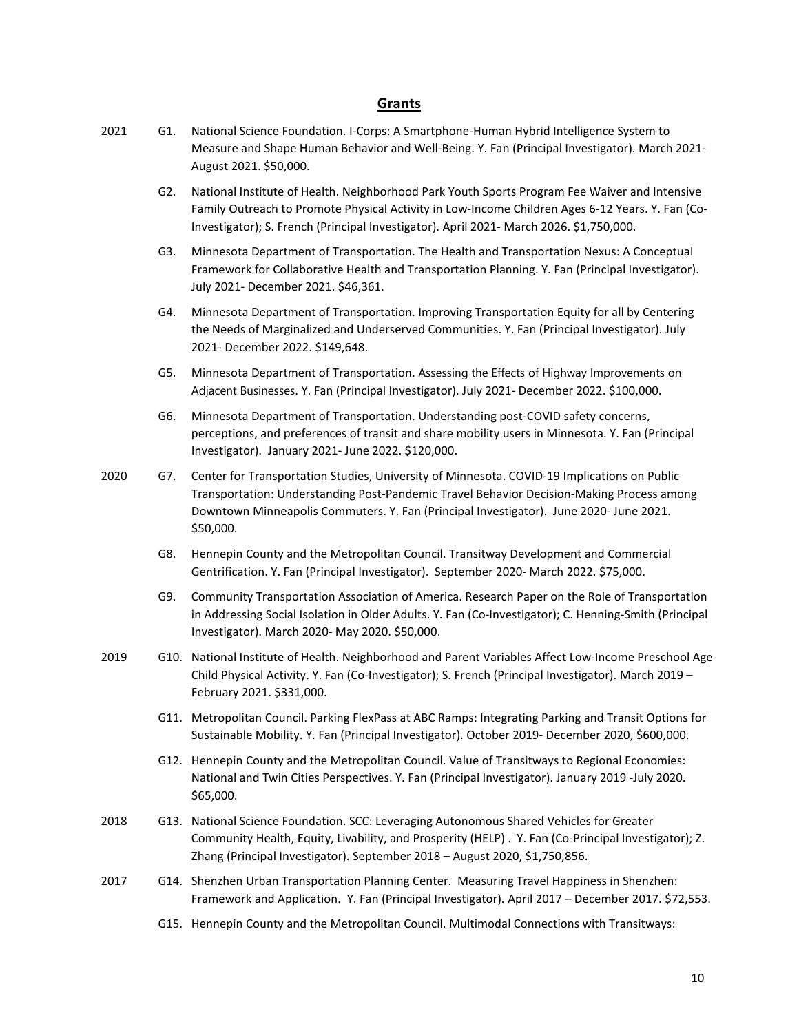## **Grants**

- 2021 G1. National Science Foundation. I-Corps: A Smartphone-Human Hybrid Intelligence System to Measure and Shape Human Behavior and Well-Being. Y. Fan (Principal Investigator). March 2021- August 2021. \$50,000.
	- G2. National Institute of Health. Neighborhood Park Youth Sports Program Fee Waiver and Intensive Family Outreach to Promote Physical Activity in Low-Income Children Ages 6-12 Years. Y. Fan (Co-Investigator); S. French (Principal Investigator). April 2021- March 2026. \$1,750,000.
	- G3. Minnesota Department of Transportation. The Health and Transportation Nexus: A Conceptual Framework for Collaborative Health and Transportation Planning. Y. Fan (Principal Investigator). July 2021- December 2021. \$46,361.
	- G4. Minnesota Department of Transportation. Improving Transportation Equity for all by Centering the Needs of Marginalized and Underserved Communities. Y. Fan (Principal Investigator). July 2021- December 2022. \$149,648.
	- G5. Minnesota Department of Transportation. Assessing the Effects of Highway Improvements on Adjacent Businesses. Y. Fan (Principal Investigator). July 2021- December 2022. \$100,000.
	- G6. Minnesota Department of Transportation. Understanding post-COVID safety concerns, perceptions, and preferences of transit and share mobility users in Minnesota. Y. Fan (Principal Investigator). January 2021- June 2022. \$120,000.
- 2020 G7. Center for Transportation Studies, University of Minnesota. COVID-19 Implications on Public Transportation: Understanding Post-Pandemic Travel Behavior Decision-Making Process among Downtown Minneapolis Commuters. Y. Fan (Principal Investigator). June 2020- June 2021. \$50,000.
	- G8. Hennepin County and the Metropolitan Council. Transitway Development and Commercial Gentrification. Y. Fan (Principal Investigator). September 2020- March 2022. \$75,000.
	- G9. Community Transportation Association of America. Research Paper on the Role of Transportation in Addressing Social Isolation in Older Adults. Y. Fan (Co-Investigator); C. Henning-Smith (Principal Investigator). March 2020- May 2020. \$50,000.
- 2019 G10. National Institute of Health. Neighborhood and Parent Variables Affect Low-Income Preschool Age Child Physical Activity. Y. Fan (Co-Investigator); S. French (Principal Investigator). March 2019 – February 2021. \$331,000.
	- G11. Metropolitan Council. Parking FlexPass at ABC Ramps: Integrating Parking and Transit Options for Sustainable Mobility. Y. Fan (Principal Investigator). October 2019- December 2020, \$600,000.
	- G12. Hennepin County and the Metropolitan Council. Value of Transitways to Regional Economies: National and Twin Cities Perspectives. Y. Fan (Principal Investigator). January 2019 -July 2020. \$65,000.
- 2018 G13. National Science Foundation. SCC: Leveraging Autonomous Shared Vehicles for Greater Community Health, Equity, Livability, and Prosperity (HELP) . Y. Fan (Co-Principal Investigator); Z. Zhang (Principal Investigator). September 2018 – August 2020, \$1,750,856.
- 2017 G14. Shenzhen Urban Transportation Planning Center. Measuring Travel Happiness in Shenzhen: Framework and Application. Y. Fan (Principal Investigator). April 2017 – December 2017. \$72,553.
	- G15. Hennepin County and the Metropolitan Council. Multimodal Connections with Transitways: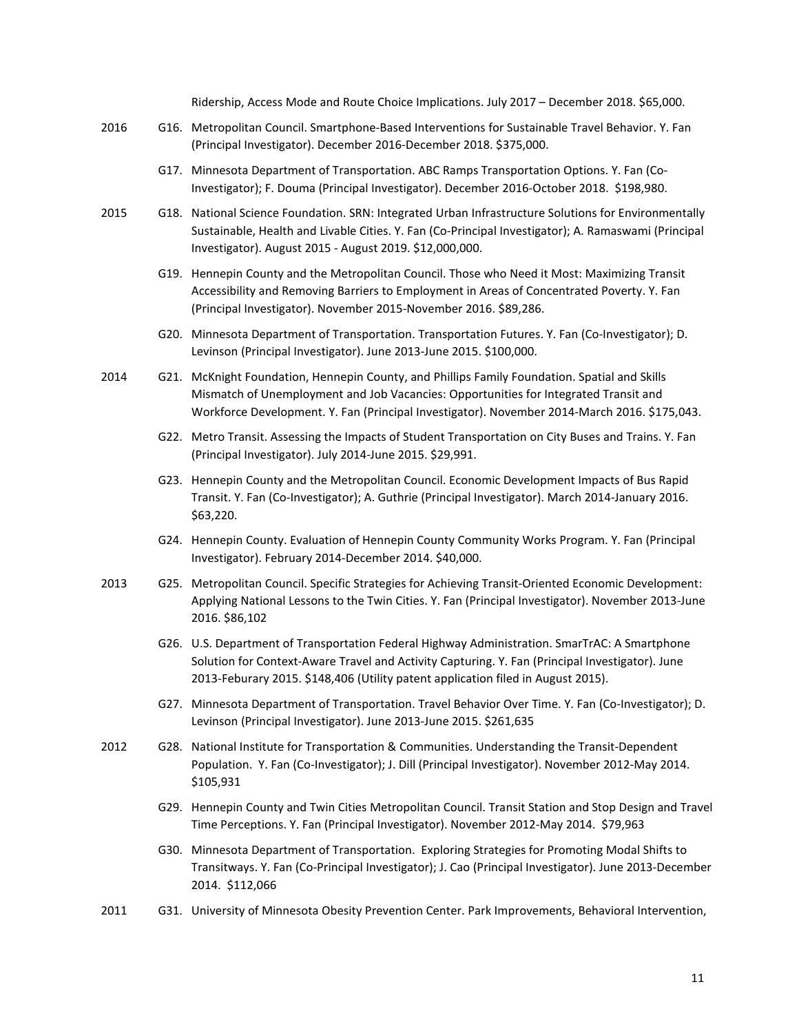Ridership, Access Mode and Route Choice Implications. July 2017 – December 2018. \$65,000.

- 2016 G16. Metropolitan Council. Smartphone-Based Interventions for Sustainable Travel Behavior. Y. Fan (Principal Investigator). December 2016-December 2018. \$375,000.
	- G17. Minnesota Department of Transportation. ABC Ramps Transportation Options. Y. Fan (Co-Investigator); F. Douma (Principal Investigator). December 2016-October 2018. \$198,980.
- 2015 G18. National Science Foundation. SRN: Integrated Urban Infrastructure Solutions for Environmentally Sustainable, Health and Livable Cities. Y. Fan (Co-Principal Investigator); A. Ramaswami (Principal Investigator). August 2015 - August 2019. \$12,000,000.
	- G19. Hennepin County and the Metropolitan Council. Those who Need it Most: Maximizing Transit Accessibility and Removing Barriers to Employment in Areas of Concentrated Poverty. Y. Fan (Principal Investigator). November 2015-November 2016. \$89,286.
	- G20. Minnesota Department of Transportation. Transportation Futures. Y. Fan (Co-Investigator); D. Levinson (Principal Investigator). June 2013-June 2015. \$100,000.
- 2014 G21. McKnight Foundation, Hennepin County, and Phillips Family Foundation. Spatial and Skills Mismatch of Unemployment and Job Vacancies: Opportunities for Integrated Transit and Workforce Development. Y. Fan (Principal Investigator). November 2014-March 2016. \$175,043.
	- G22. Metro Transit. Assessing the Impacts of Student Transportation on City Buses and Trains. Y. Fan (Principal Investigator). July 2014-June 2015. \$29,991.
	- G23. Hennepin County and the Metropolitan Council. Economic Development Impacts of Bus Rapid Transit. Y. Fan (Co-Investigator); A. Guthrie (Principal Investigator). March 2014-January 2016. \$63,220.
	- G24. Hennepin County. Evaluation of Hennepin County Community Works Program. Y. Fan (Principal Investigator). February 2014-December 2014. \$40,000.
- 2013 G25. Metropolitan Council. Specific Strategies for Achieving Transit-Oriented Economic Development: Applying National Lessons to the Twin Cities. Y. Fan (Principal Investigator). November 2013-June 2016. \$86,102
	- G26. U.S. Department of Transportation Federal Highway Administration. SmarTrAC: A Smartphone Solution for Context-Aware Travel and Activity Capturing. Y. Fan (Principal Investigator). June 2013-Feburary 2015. \$148,406 (Utility patent application filed in August 2015).
	- G27. Minnesota Department of Transportation. Travel Behavior Over Time. Y. Fan (Co-Investigator); D. Levinson (Principal Investigator). June 2013-June 2015. \$261,635
- 2012 G28. National Institute for Transportation & Communities. Understanding the Transit-Dependent Population. Y. Fan (Co-Investigator); J. Dill (Principal Investigator). November 2012-May 2014. \$105,931
	- G29. Hennepin County and Twin Cities Metropolitan Council. Transit Station and Stop Design and Travel Time Perceptions. Y. Fan (Principal Investigator). November 2012-May 2014. \$79,963
	- G30. Minnesota Department of Transportation. Exploring Strategies for Promoting Modal Shifts to Transitways. Y. Fan (Co-Principal Investigator); J. Cao (Principal Investigator). June 2013-December 2014. \$112,066
- 2011 G31. University of Minnesota Obesity Prevention Center. Park Improvements, Behavioral Intervention,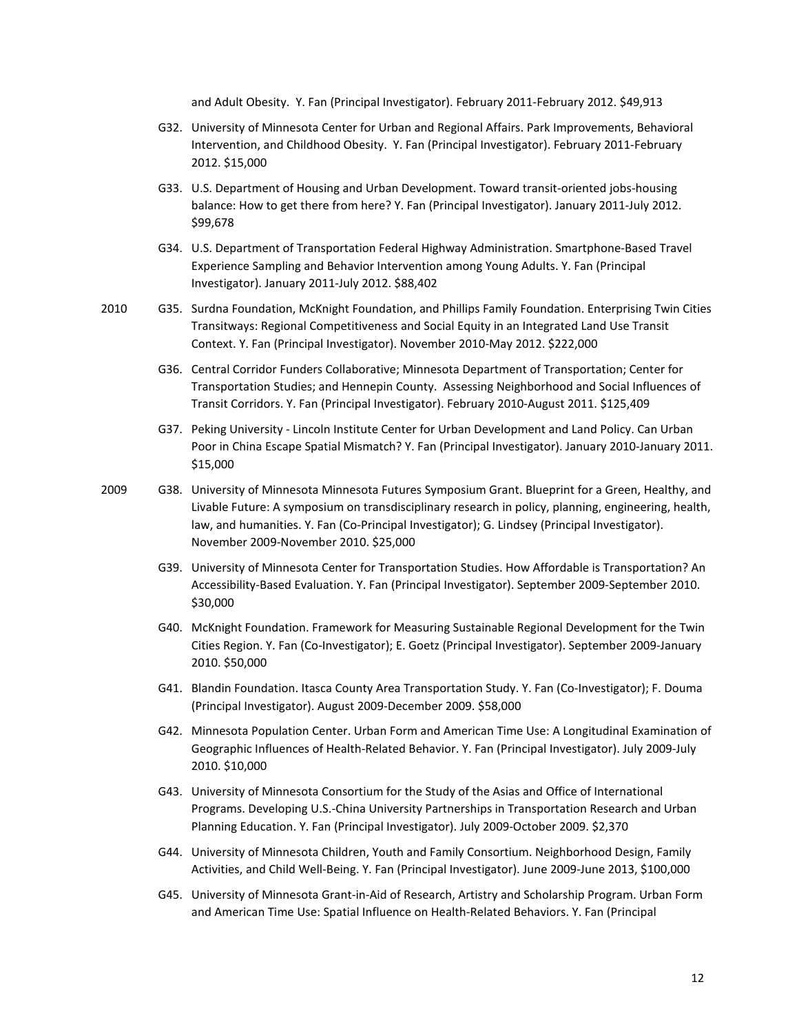and Adult Obesity. Y. Fan (Principal Investigator). February 2011-February 2012. \$49,913

- G32. University of Minnesota Center for Urban and Regional Affairs. Park Improvements, Behavioral Intervention, and Childhood Obesity. Y. Fan (Principal Investigator). February 2011-February 2012. \$15,000
- G33. U.S. Department of Housing and Urban Development. Toward transit-oriented jobs-housing balance: How to get there from here? Y. Fan (Principal Investigator). January 2011-July 2012. \$99,678
- G34. U.S. Department of Transportation Federal Highway Administration. Smartphone-Based Travel Experience Sampling and Behavior Intervention among Young Adults. Y. Fan (Principal Investigator). January 2011-July 2012. \$88,402
- 2010 G35. Surdna Foundation, McKnight Foundation, and Phillips Family Foundation. Enterprising Twin Cities Transitways: Regional Competitiveness and Social Equity in an Integrated Land Use Transit Context. Y. Fan (Principal Investigator). November 2010-May 2012. \$222,000
	- G36. Central Corridor Funders Collaborative; Minnesota Department of Transportation; Center for Transportation Studies; and Hennepin County. Assessing Neighborhood and Social Influences of Transit Corridors. Y. Fan (Principal Investigator). February 2010-August 2011. \$125,409
	- G37. Peking University Lincoln Institute Center for Urban Development and Land Policy. Can Urban Poor in China Escape Spatial Mismatch? Y. Fan (Principal Investigator). January 2010-January 2011. \$15,000
- 2009 G38. University of Minnesota Minnesota Futures Symposium Grant. Blueprint for a Green, Healthy, and Livable Future: A symposium on transdisciplinary research in policy, planning, engineering, health, law, and humanities. Y. Fan (Co-Principal Investigator); G. Lindsey (Principal Investigator). November 2009-November 2010. \$25,000
	- G39. University of Minnesota Center for Transportation Studies. How Affordable is Transportation? An Accessibility-Based Evaluation. Y. Fan (Principal Investigator). September 2009-September 2010. \$30,000
	- G40. McKnight Foundation. Framework for Measuring Sustainable Regional Development for the Twin Cities Region. Y. Fan (Co-Investigator); E. Goetz (Principal Investigator). September 2009-January 2010. \$50,000
	- G41. Blandin Foundation. Itasca County Area Transportation Study. Y. Fan (Co-Investigator); F. Douma (Principal Investigator). August 2009-December 2009. \$58,000
	- G42. Minnesota Population Center. Urban Form and American Time Use: A Longitudinal Examination of Geographic Influences of Health-Related Behavior. Y. Fan (Principal Investigator). July 2009-July 2010. \$10,000
	- G43. University of Minnesota Consortium for the Study of the Asias and Office of International Programs. Developing U.S.-China University Partnerships in Transportation Research and Urban Planning Education. Y. Fan (Principal Investigator). July 2009-October 2009. \$2,370
	- G44. University of Minnesota Children, Youth and Family Consortium. Neighborhood Design, Family Activities, and Child Well-Being. Y. Fan (Principal Investigator). June 2009-June 2013, \$100,000
	- G45. University of Minnesota Grant-in-Aid of Research, Artistry and Scholarship Program. Urban Form and American Time Use: Spatial Influence on Health-Related Behaviors. Y. Fan (Principal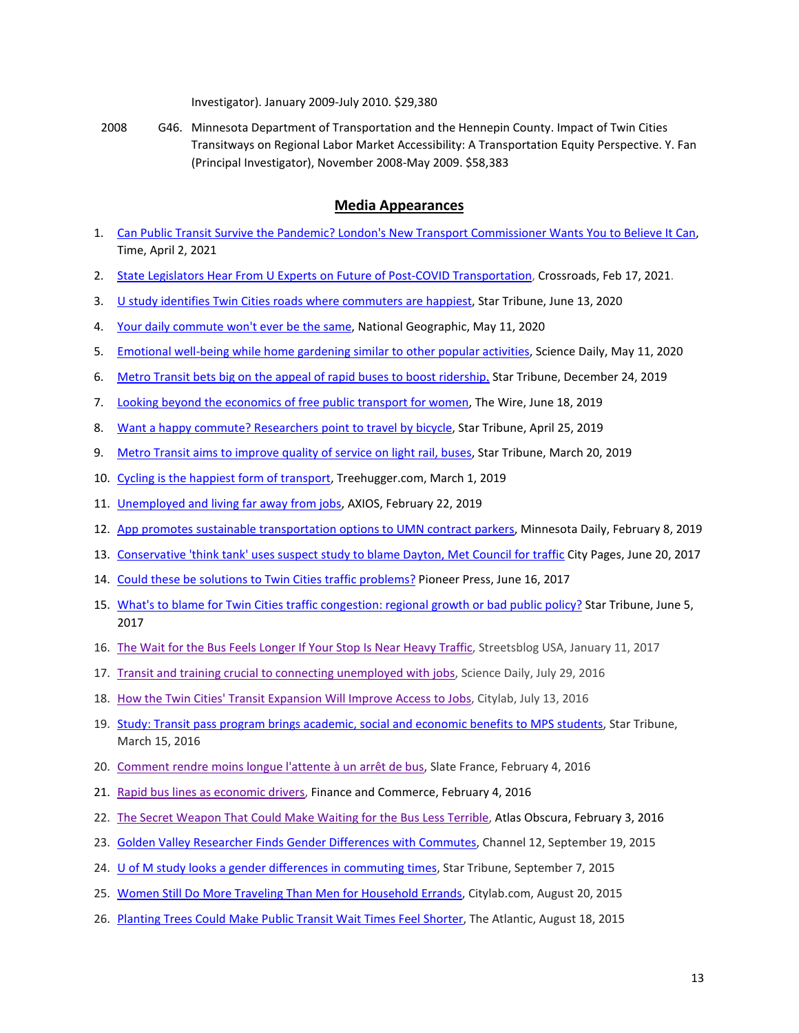Investigator). January 2009-July 2010. \$29,380

2008 G46. Minnesota Department of Transportation and the Hennepin County. Impact of Twin Cities Transitways on Regional Labor Market Accessibility: A Transportation Equity Perspective. Y. Fan (Principal Investigator), November 2008-May 2009. \$58,383

## **Media Appearances**

- 1. [Can Public Transit Survive the Pandemic? London's New Transport Commissioner Wants You to Believe It Can,](https://time.com/5951769/andy-byford-mta-tfl-interview/)  Time, April 2, 2021
- 2. [State Legislators Hear From U Experts on Future of Post-COVID Transportation,](https://mntransportationresearch.org/2021/02/17/state-legislators-hear-from-u-experts-on-future-of-post-covid-transportation/) Crossroads, Feb 17, 2021.
- 3. [U study identifies Twin Cities roads where commuters are happiest,](https://www.startribune.com/u-study-identifies-twin-cities-roads-where-commuters-are-happiest/571241322/) Star Tribune, June 13, 2020
- 4. [Your daily commute won't ever be the same,](https://www.nationalgeographic.com/science/article/coronavirus-your-daily-commute-will-never-be-the-same-cvd) National Geographic, May 11, 2020
- 5. [Emotional well-being while home gardening similar to other popular activities,](https://www.sciencedaily.com/releases/2020/05/200511142141.htm) Science Daily, May 11, 2020
- 6. [Metro Transit bets big on the appeal of rapid buses to boost ridership](http://www.startribune.com/metro-transit-bets-big-on-the-appeal-of-rapid-buses-to-boost-ridership/566451092/). Star Tribune, December 24, 2019
- 7. [Looking beyond](https://thewire.in/government/looking-beyond-the-economics-of-free-public-transport-for-women) the economics of free public transport for women, The Wire, June 18, 2019
- 8. [Want a happy commute? Researchers point to travel by bicycle,](http://www.startribune.com/want-a-happy-commute-researchers-point-to-travel-by-bicycle/509074082/) Star Tribune, April 25, 2019
- 9. [Metro Transit aims to improve quality of service on light rail, buses,](http://www.startribune.com/metro-transit-aims-to-improve-quality-of-service-on-light-rail-buses/507383732/) Star Tribune, March 20, 2019
- 10. [Cycling is the happiest form of transport,](https://www.treehugger.com/bikes/cycling-happiest-form-transport.html) Treehugger.com, March 1, 2019
- 11. [Unemployed and living far away from jobs,](https://www.axios.com/jobs-spatial-mismatch-low-wages-georgraphy-d23fa364-3dc7-487b-bc92-37dd719758e6.html) AXIOS, February 22, 2019
- 12. [App promotes sustainable transportation options to UMN contract parkers,](https://www.mndaily.com/article/2019/02/n-app-promotes-sustainable-transportation-options-to-umn-contract-parkers) Minnesota Daily, February 8, 2019
- 13. [Conservative 'think tank' uses suspect study to blame Dayton, Met Council for traffic](http://www.citypages.com/news/conservative-think-tank-uses-suspect-study-to-blame-dayton-met-council-for-traffic/429411603) City Pages, June 20, 2017
- 14. [Could these be solutions to Twin Cities traffic problems?](http://www.twincities.com/2017/06/16/five-possible-solutions-to-twin-cities-congestion/) Pioneer Press, June 16, 2017
- 15. [What's to blame for Twin Cities traffic congestion: regional growth or bad public policy?](http://www.startribune.com/twin-cities-traffic-congestion-regional-growth-or-bad-public-policy/426586361/) Star Tribune, June 5, 2017
- 16. [The Wait for the Bus Feels Longer If Your Stop Is Near Heavy Traffic,](http://usa.streetsblog.org/2017/01/11/the-wait-for-the-bus-feels-longer-if-your-stop-is-near-heavy-traffic/) Streetsblog USA, January 11, 2017
- 17. [Transit and training crucial to connecting unemployed with jobs,](https://www.sciencedaily.com/releases/2016/07/160729111302.htm) Science Daily, July 29, 2016
- 18. [How the Twin Cities' Transit Expansion Will Improve Access to Jobs,](http://www.citylab.com/commute/2016/07/how-the-twin-cities-transit-expansion-will-improve-access-to-jobs/490346/) Citylab, July 13, 2016
- 19. [Study: Transit pass program brings academic, social and economic benefits to MPS students,](http://www.startribune.com/study-transit-pass-program-brings-academic-social-and-economic-benefits-to-mps-students/372088421/) Star Tribune, March 15, 2016
- 20. [Comment rendre moins longue l'attente à un arrêt de bus,](http://www.slate.fr/story/113635/bus-attente) Slate France, February 4, 2016
- 21. [Rapid bus lines as economic drivers,](http://finance-commerce.com/2016/02/rapid-bus-lines-as-economic-drivers/) Finance and Commerce, February 4, 2016
- 22. [The Secret Weapon That Could Make Waiting for the Bus Less Terrible,](http://www.atlasobscura.com/articles/the-secret-weapon-that-can-fix-the-excruciating-wait-for-the-bus) Atlas Obscura, February 3, 2016
- 23. [Golden Valley Researcher Finds Gender Differences with Commutes,](https://www.youtube.com/watch?v=M0Kg6tUKshY) Channel 12, September 19, 2015
- 24. [U of M study looks a gender differences in commuting times,](file://files.umn.edu/HHH/HOME/Yingling/My%20Documents/Review%20Yearly/%E2%80%A2%09http:/www.startribune.com/u-of-m-study-looks-a-gender-differences-in-commuting-times/325508411/) Star Tribune, September 7, 2015
- 25. [Women Still Do More Traveling Than Men for Household Errands,](http://www.citylab.com/work/2015/08/women-still-do-more-traveling-than-men-for-household-errands/401921/) Citylab.com, August 20, 2015
- 26. [Planting Trees Could Make Public Transit Wait Times Feel Shorter,](http://www.theatlantic.com/business/archive/2015/08/commuting-wait-time/401564/) The Atlantic, August 18, 2015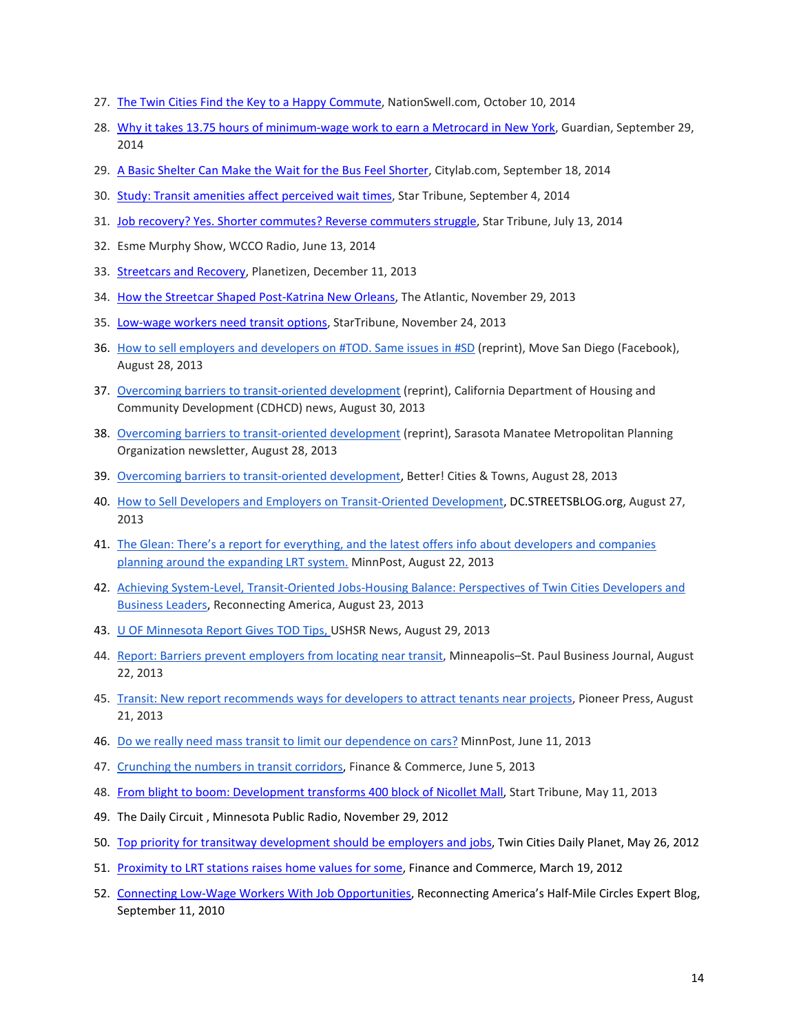- 27. [The Twin Cities Find the Key](http://nationswell.com/shelters-improve-the-commuting-experience/) to a Happy Commute, NationSwell.com, October 10, 2014
- 28. [Why it takes 13.75 hours of minimum-wage work to earn a Metrocard in New York,](http://www.theguardian.com/money/us-money-blog/2014/sep/29/public-transportation-subway-tube-expensive-ticket-rich-) Guardian, September 29, 2014
- 29. [A Basic Shelter Can Make the Wait for the Bus Feel Shorter,](http://www.citylab.com/cityfixer/2014/09/a-basic-shelter-can-make-the-wait-for-the-bus-feel-shorter/380297/) Citylab.com, September 18, 2014
- 30. [Study: Transit amenities affect perceived wait times,](http://www.startribune.com/local/blogs/273982421.html) Star Tribune, September 4, 2014
- 31. [Job recovery? Yes. Shorter commutes? Reverse commuters struggle,](http://www.startribune.com/local/north/266955181.html) Star Tribune, July 13, 2014
- 32. Esme Murphy Show, WCCO Radio, June 13, 2014
- 33. [Streetcars and Recovery,](http://www.planetizen.com/node/66443) Planetizen, December 11, 2013
- 34. [How the Streetcar Shaped Post-Katrina New Orleans,](http://www.theatlanticcities.com/jobs-and-economy/2013/11/how-streetcar-shaped-post-katrina-new-orleans/7733/) The Atlantic, November 29, 2013
- 35. [Low-wage workers need transit options,](http://www.startribune.com/opinion/editorials/233086711.html) StarTribune, November 24, 2013
- 36. [How to sell employers and developers on #TOD. Same issues in #SD](https://www.facebook.com/MoveSanDiego) (reprint), Move San Diego (Facebook), August 28, 2013
- 37. [Overcoming barriers to transit-oriented development](http://www.hcd.ca.gov/hpd/news/) (reprint), California Department of Housing and Community Development (CDHCD) news, August 30, 2013
- 38. [Overcoming barriers to transit-oriented development](http://mympo.org/PDF/News/news.pdf) (reprint), Sarasota Manatee Metropolitan Planning Organization newsletter, August 28, 2013
- 39. [Overcoming barriers to transit-oriented development,](http://bettercities.net/article/overcoming-barriers-transit-oriented-development-20652) Better! Cities & Towns, August 28, 2013
- 40. [How to Sell Developers and Employers on Transit-Oriented Development,](http://dc.streetsblog.org/2013/08/27/how-to-sell-developers-and-employers-on-transit-oriented-development/) DC.STREETSBLOG.org, August 27, 2013
- 41. The Glean: There's a report for everything, [and the latest offers info about developers and companies](http://www.minnpost.com/glean/2013/08/minneapolis-city-council-wheres-police-discipline)  [planning around the expanding LRT system.](http://www.minnpost.com/glean/2013/08/minneapolis-city-council-wheres-police-discipline) MinnPost, August 22, 2013
- 42. [Achieving System-Level, Transit-Oriented Jobs-Housing Balance: Perspectives of Twin Cities Developers and](http://www.reconnectingamerica.org/resource-center/browse-research/2013/achieving-system-level-transit-oriented-jobs-housing-balance-perspectives-of-twin-cities-developers-and-business-leaders/)  [Business Leaders,](http://www.reconnectingamerica.org/resource-center/browse-research/2013/achieving-system-level-transit-oriented-jobs-housing-balance-perspectives-of-twin-cities-developers-and-business-leaders/) Reconnecting America, August 23, 2013
- 43. [U OF Minnesota Report Gives TOD Tips, U](http://myemail.constantcontact.com/USHSR-News-----Study--TOD--HSR---Australian-HSR--China-HSR---Growth--Ohio--HSR-LA---.html?soid=1102837461714&aid=-nLOOM9zV4g)SHSR News, August 29, 2013
- 44. [Report: Barriers prevent employers from locating near transit,](http://www.bizjournals.com/twincities/morning_roundup/2013/08/report-barriers-employers-transit.html) Minneapolis–St. Paul Business Journal, August 22, 2013
- 45. [Transit: New report recommends ways for developers to attract tenants near projects,](http://www.twincities.com/stpaul/ci_23913108/transit-new-report-recommends-ways-developers-attract-tenants) Pioneer Press, August 21, 2013
- 46. [Do we really need mass transit to limit our dependence on cars?](http://www.minnpost.com/cityscape/2013/06/do-we-really-need-mass-transit-limit-our-dependence-cars) MinnPost, June 11, 2013
- 47. [Crunching the numbers in transit corridors,](http://finance-commerce.com/2013/06/crunching-the-numbers-in-transit-corridors/) Finance & Commerce, June 5, 2013
- 48. [From blight to boom: Development transforms 400 block of Nicollet Mall,](http://www.startribune.com/business/207063991.html) Start Tribune, May 11, 2013
- 49. The Daily Circuit , Minnesota Public Radio, November 29, 2012
- 50. [Top priority for transitway development should be employers and jobs,](http://www.tcdailyplanet.net/blog/dane-smith/top-priority-transitway-development-should-be-employers-and-jobs) Twin Cities Daily Planet, May 26, 2012
- 51. [Proximity to LRT stations raises home values for some,](http://finance-commerce.com/2012/03/proximity-to-lrt-stations-raises-home-values-for-some/) Finance and Commerce, March 19, 2012
- 52. [Connecting Low-Wage Workers With Job Opportunities,](http://www.reconnectingamerica.org/posts/connecting-low-wage-workers-with-job-opportunities) Reconnecting America's Half-Mile Circles Expert Blog, September 11, 2010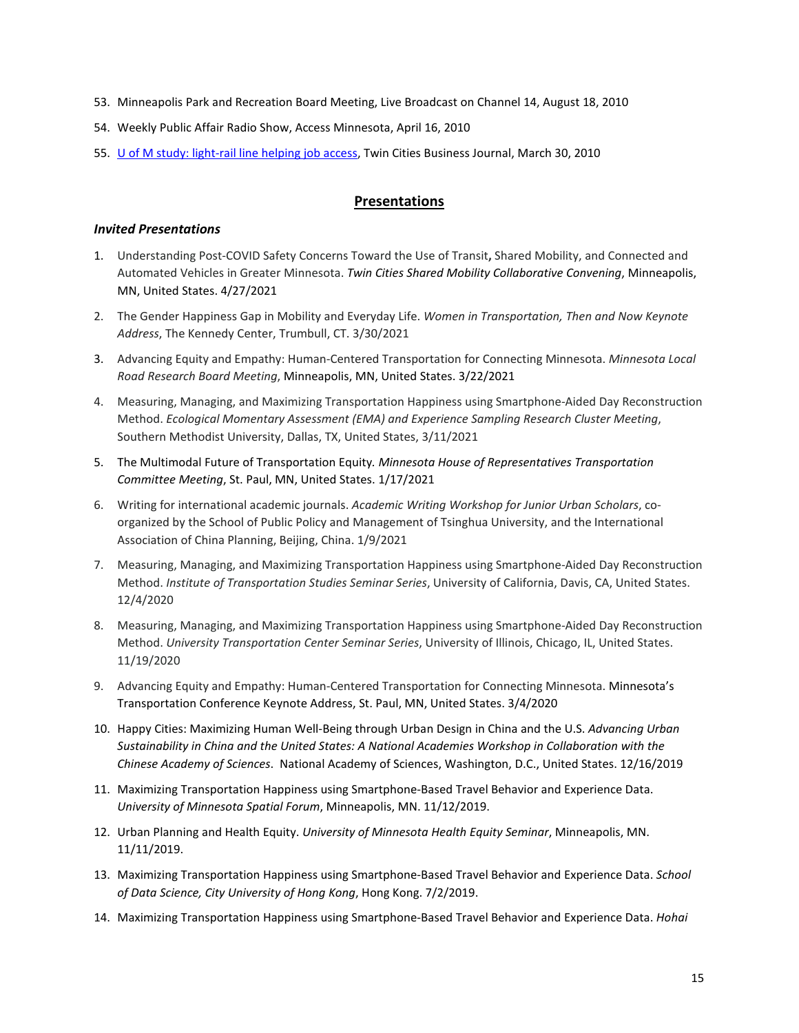- 53. Minneapolis Park and Recreation Board Meeting, Live Broadcast on Channel 14, August 18, 2010
- 54. Weekly Public Affair Radio Show, Access Minnesota, April 16, 2010
- 55. [U of M study: light-rail line helping job access,](http://www.bizjournals.com/twincities/stories/2010/03/29/daily17.html) Twin Cities Business Journal, March 30, 2010

## **Presentations**

## *Invited Presentations*

- 1. Understanding Post-COVID Safety Concerns Toward the Use of Transit**,** Shared Mobility, and Connected and Automated Vehicles in Greater Minnesota. *Twin Cities Shared Mobility Collaborative Convening*, Minneapolis, MN, United States. 4/27/2021
- 2. The Gender Happiness Gap in Mobility and Everyday Life. *Women in Transportation, Then and Now Keynote Address*, The Kennedy Center, Trumbull, CT. 3/30/2021
- 3. Advancing Equity and Empathy: Human-Centered Transportation for Connecting Minnesota. *Minnesota Local Road Research Board Meeting*, Minneapolis, MN, United States. 3/22/2021
- 4. Measuring, Managing, and Maximizing Transportation Happiness using Smartphone-Aided Day Reconstruction Method. *Ecological Momentary Assessment (EMA) and Experience Sampling Research Cluster Meeting*, Southern Methodist University, Dallas, TX, United States, 3/11/2021
- 5. The Multimodal Future of Transportation Equity*. Minnesota House of Representatives Transportation Committee Meeting*, St. Paul, MN, United States. 1/17/2021
- 6. Writing for international academic journals. *Academic Writing Workshop for Junior Urban Scholars*, coorganized by the School of Public Policy and Management of Tsinghua University, and the International Association of China Planning, Beijing, China. 1/9/2021
- 7. Measuring, Managing, and Maximizing Transportation Happiness using Smartphone-Aided Day Reconstruction Method. *Institute of Transportation Studies Seminar Series*, University of California, Davis, CA, United States. 12/4/2020
- 8. Measuring, Managing, and Maximizing Transportation Happiness using Smartphone-Aided Day Reconstruction Method. *University Transportation Center Seminar Series*, University of Illinois, Chicago, IL, United States. 11/19/2020
- 9. Advancing Equity and Empathy: Human-Centered Transportation for Connecting Minnesota. Minnesota's Transportation Conference Keynote Address, St. Paul, MN, United States. 3/4/2020
- 10. Happy Cities: Maximizing Human Well-Being through Urban Design in China and the U.S. *Advancing Urban Sustainability in China and the United States: A National Academies Workshop in Collaboration with the Chinese Academy of Sciences*. National Academy of Sciences, Washington, D.C., United States. 12/16/2019
- 11. Maximizing Transportation Happiness using Smartphone-Based Travel Behavior and Experience Data. *University of Minnesota Spatial Forum*, Minneapolis, MN. 11/12/2019.
- 12. Urban Planning and Health Equity. *University of Minnesota Health Equity Seminar*, Minneapolis, MN. 11/11/2019.
- 13. Maximizing Transportation Happiness using Smartphone-Based Travel Behavior and Experience Data. *School of Data Science, City University of Hong Kong*, Hong Kong. 7/2/2019.
- 14. Maximizing Transportation Happiness using Smartphone-Based Travel Behavior and Experience Data. *Hohai*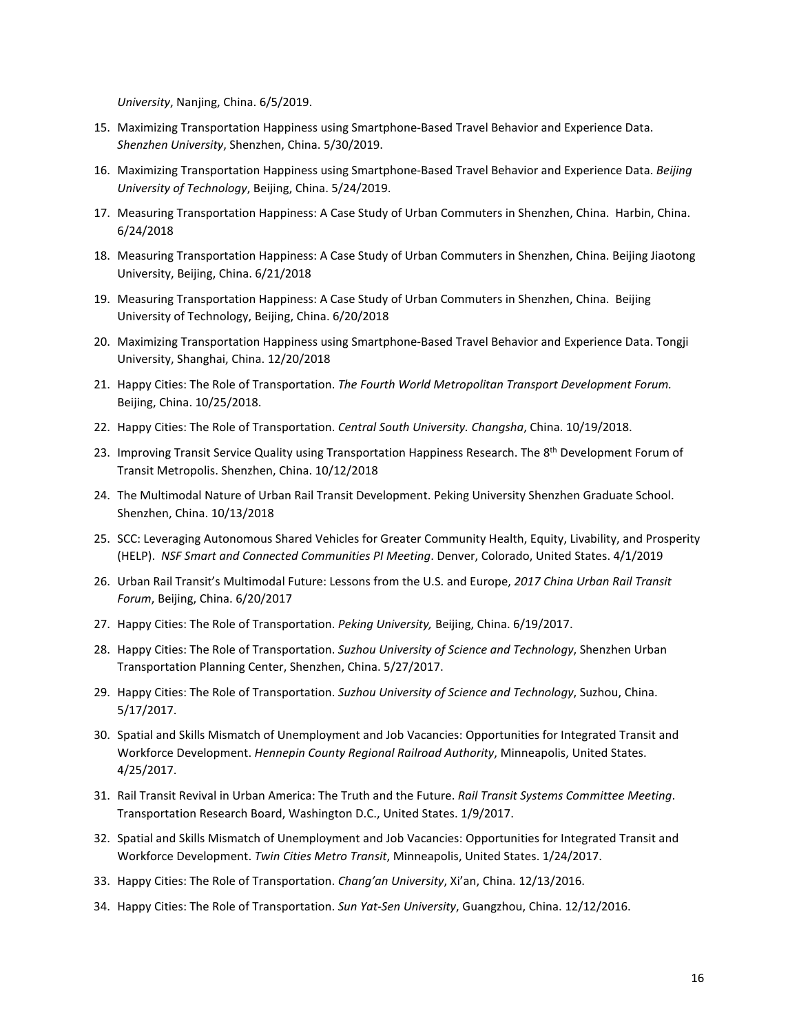*University*, Nanjing, China. 6/5/2019.

- 15. Maximizing Transportation Happiness using Smartphone-Based Travel Behavior and Experience Data. *Shenzhen University*, Shenzhen, China. 5/30/2019.
- 16. Maximizing Transportation Happiness using Smartphone-Based Travel Behavior and Experience Data. *Beijing University of Technology*, Beijing, China. 5/24/2019.
- 17. Measuring Transportation Happiness: A Case Study of Urban Commuters in Shenzhen, China. Harbin, China. 6/24/2018
- 18. Measuring Transportation Happiness: A Case Study of Urban Commuters in Shenzhen, China. Beijing Jiaotong University, Beijing, China. 6/21/2018
- 19. Measuring Transportation Happiness: A Case Study of Urban Commuters in Shenzhen, China. Beijing University of Technology, Beijing, China. 6/20/2018
- 20. Maximizing Transportation Happiness using Smartphone-Based Travel Behavior and Experience Data. Tongji University, Shanghai, China. 12/20/2018
- 21. Happy Cities: The Role of Transportation. *The Fourth World Metropolitan Transport Development Forum.*  Beijing, China. 10/25/2018.
- 22. Happy Cities: The Role of Transportation. *Central South University. Changsha*, China. 10/19/2018.
- 23. Improving Transit Service Quality using Transportation Happiness Research. The 8<sup>th</sup> Development Forum of Transit Metropolis. Shenzhen, China. 10/12/2018
- 24. The Multimodal Nature of Urban Rail Transit Development. Peking University Shenzhen Graduate School. Shenzhen, China. 10/13/2018
- 25. SCC: Leveraging Autonomous Shared Vehicles for Greater Community Health, Equity, Livability, and Prosperity (HELP). *NSF Smart and Connected Communities PI Meeting*. Denver, Colorado, United States. 4/1/2019
- 26. Urban Rail Transit's Multimodal Future: Lessons from the U.S. and Europe, *2017 China Urban Rail Transit Forum*, Beijing, China. 6/20/2017
- 27. Happy Cities: The Role of Transportation. *Peking University,* Beijing, China. 6/19/2017.
- 28. Happy Cities: The Role of Transportation. *Suzhou University of Science and Technology*, Shenzhen Urban Transportation Planning Center, Shenzhen, China. 5/27/2017.
- 29. Happy Cities: The Role of Transportation. *Suzhou University of Science and Technology*, Suzhou, China. 5/17/2017.
- 30. Spatial and Skills Mismatch of Unemployment and Job Vacancies: Opportunities for Integrated Transit and Workforce Development. *Hennepin County Regional Railroad Authority*, Minneapolis, United States. 4/25/2017.
- 31. Rail Transit Revival in Urban America: The Truth and the Future. *Rail Transit Systems Committee Meeting*. Transportation Research Board, Washington D.C., United States. 1/9/2017.
- 32. Spatial and Skills Mismatch of Unemployment and Job Vacancies: Opportunities for Integrated Transit and Workforce Development. *Twin Cities Metro Transit*, Minneapolis, United States. 1/24/2017.
- 33. Happy Cities: The Role of Transportation. *Chang'an University*, Xi'an, China. 12/13/2016.
- 34. Happy Cities: The Role of Transportation. *Sun Yat-Sen University*, Guangzhou, China. 12/12/2016.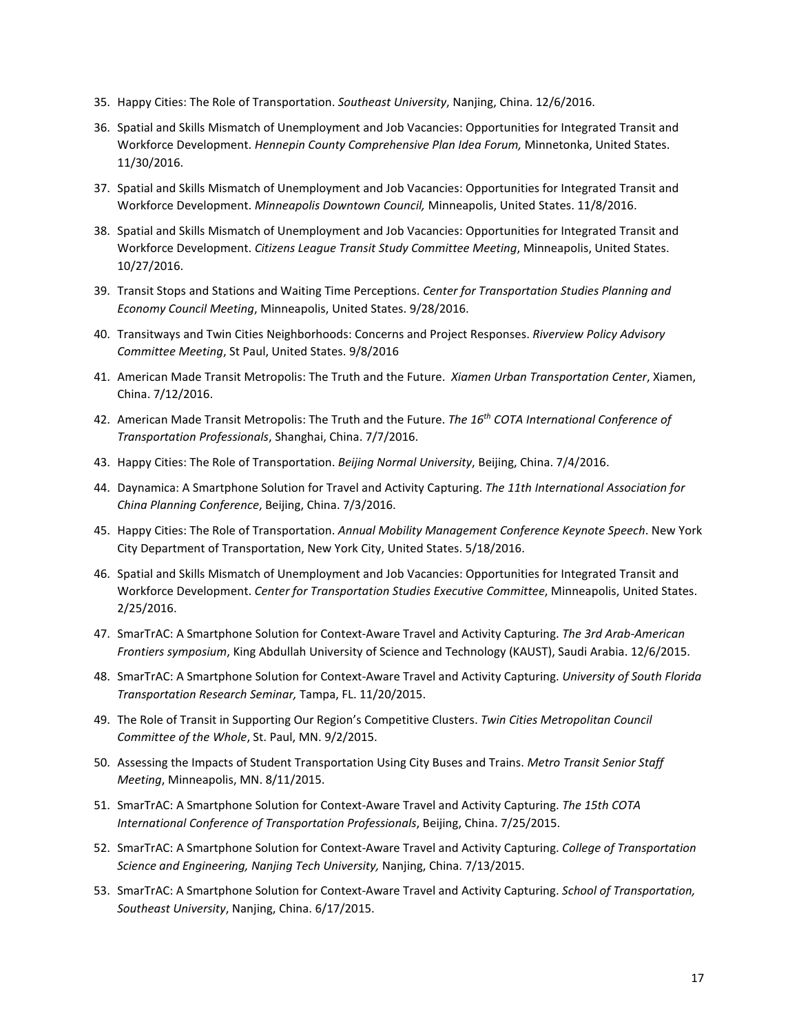- 35. Happy Cities: The Role of Transportation. *Southeast University*, Nanjing, China. 12/6/2016.
- 36. Spatial and Skills Mismatch of Unemployment and Job Vacancies: Opportunities for Integrated Transit and Workforce Development. *Hennepin County Comprehensive Plan Idea Forum,* Minnetonka, United States. 11/30/2016.
- 37. Spatial and Skills Mismatch of Unemployment and Job Vacancies: Opportunities for Integrated Transit and Workforce Development. *Minneapolis Downtown Council,* Minneapolis, United States. 11/8/2016.
- 38. Spatial and Skills Mismatch of Unemployment and Job Vacancies: Opportunities for Integrated Transit and Workforce Development. *Citizens League Transit Study Committee Meeting*, Minneapolis, United States. 10/27/2016.
- 39. Transit Stops and Stations and Waiting Time Perceptions. *Center for Transportation Studies Planning and Economy Council Meeting*, Minneapolis, United States. 9/28/2016.
- 40. Transitways and Twin Cities Neighborhoods: Concerns and Project Responses. *Riverview Policy Advisory Committee Meeting*, St Paul, United States. 9/8/2016
- 41. American Made Transit Metropolis: The Truth and the Future. *Xiamen Urban Transportation Center*, Xiamen, China. 7/12/2016.
- 42. American Made Transit Metropolis: The Truth and the Future. *The 16th COTA International Conference of Transportation Professionals*, Shanghai, China. 7/7/2016.
- 43. Happy Cities: The Role of Transportation. *Beijing Normal University*, Beijing, China. 7/4/2016.
- 44. Daynamica: A Smartphone Solution for Travel and Activity Capturing. *The 11th International Association for China Planning Conference*, Beijing, China. 7/3/2016.
- 45. Happy Cities: The Role of Transportation. *Annual Mobility Management Conference Keynote Speech*. New York City Department of Transportation, New York City, United States. 5/18/2016.
- 46. Spatial and Skills Mismatch of Unemployment and Job Vacancies: Opportunities for Integrated Transit and Workforce Development. *Center for Transportation Studies Executive Committee*, Minneapolis, United States. 2/25/2016.
- 47. SmarTrAC: A Smartphone Solution for Context-Aware Travel and Activity Capturing. *The 3rd Arab-American Frontiers symposium*, King Abdullah University of Science and Technology (KAUST), Saudi Arabia. 12/6/2015.
- 48. SmarTrAC: A Smartphone Solution for Context-Aware Travel and Activity Capturing. *University of South Florida Transportation Research Seminar,* Tampa, FL. 11/20/2015.
- 49. The Role of Transit in Supporting Our Region's Competitive Clusters. *Twin Cities Metropolitan Council Committee of the Whole*, St. Paul, MN. 9/2/2015.
- 50. Assessing the Impacts of Student Transportation Using City Buses and Trains. *Metro Transit Senior Staff Meeting*, Minneapolis, MN. 8/11/2015.
- 51. SmarTrAC: A Smartphone Solution for Context-Aware Travel and Activity Capturing. *The 15th COTA International Conference of Transportation Professionals*, Beijing, China. 7/25/2015.
- 52. SmarTrAC: A Smartphone Solution for Context-Aware Travel and Activity Capturing. *College of Transportation Science and Engineering, Nanjing Tech University,* Nanjing, China. 7/13/2015.
- 53. SmarTrAC: A Smartphone Solution for Context-Aware Travel and Activity Capturing. *School of Transportation, Southeast University*, Nanjing, China. 6/17/2015.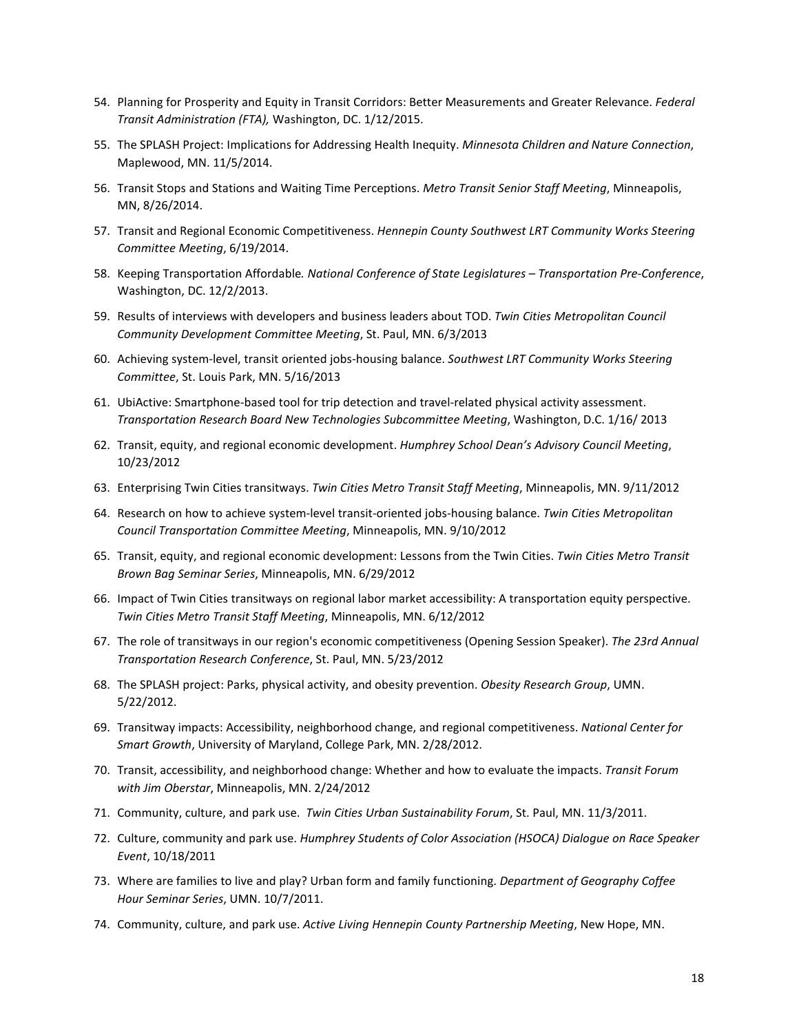- 54. Planning for Prosperity and Equity in Transit Corridors: Better Measurements and Greater Relevance. *Federal Transit Administration (FTA),* Washington, DC. 1/12/2015.
- 55. The SPLASH Project: Implications for Addressing Health Inequity. *Minnesota Children and Nature Connection*, Maplewood, MN. 11/5/2014.
- 56. Transit Stops and Stations and Waiting Time Perceptions. *Metro Transit Senior Staff Meeting*, Minneapolis, MN, 8/26/2014.
- 57. Transit and Regional Economic Competitiveness. *Hennepin County Southwest LRT Community Works Steering Committee Meeting*, 6/19/2014.
- 58. Keeping Transportation Affordable*. National Conference of State Legislatures – Transportation Pre-Conference*, Washington, DC. 12/2/2013.
- 59. Results of interviews with developers and business leaders about TOD. *Twin Cities Metropolitan Council Community Development Committee Meeting*, St. Paul, MN. 6/3/2013
- 60. Achieving system-level, transit oriented jobs-housing balance. *Southwest LRT Community Works Steering Committee*, St. Louis Park, MN. 5/16/2013
- 61. UbiActive: Smartphone-based tool for trip detection and travel-related physical activity assessment. *Transportation Research Board New Technologies Subcommittee Meeting*, Washington, D.C. 1/16/ 2013
- 62. Transit, equity, and regional economic development. *Humphrey School Dean's Advisory Council Meeting*, 10/23/2012
- 63. Enterprising Twin Cities transitways. *Twin Cities Metro Transit Staff Meeting*, Minneapolis, MN. 9/11/2012
- 64. Research on how to achieve system-level transit-oriented jobs-housing balance. *Twin Cities Metropolitan Council Transportation Committee Meeting*, Minneapolis, MN. 9/10/2012
- 65. Transit, equity, and regional economic development: Lessons from the Twin Cities. *Twin Cities Metro Transit Brown Bag Seminar Series*, Minneapolis, MN. 6/29/2012
- 66. Impact of Twin Cities transitways on regional labor market accessibility: A transportation equity perspective. *Twin Cities Metro Transit Staff Meeting*, Minneapolis, MN. 6/12/2012
- 67. The role of transitways in our region's economic competitiveness (Opening Session Speaker). *The 23rd Annual Transportation Research Conference*, St. Paul, MN. 5/23/2012
- 68. The SPLASH project: Parks, physical activity, and obesity prevention. *Obesity Research Group*, UMN. 5/22/2012.
- 69. Transitway impacts: Accessibility, neighborhood change, and regional competitiveness. *National Center for Smart Growth*, University of Maryland, College Park, MN. 2/28/2012.
- 70. Transit, accessibility, and neighborhood change: Whether and how to evaluate the impacts. *Transit Forum with Jim Oberstar*, Minneapolis, MN. 2/24/2012
- 71. Community, culture, and park use. *Twin Cities Urban Sustainability Forum*, St. Paul, MN. 11/3/2011.
- 72. Culture, community and park use. *Humphrey Students of Color Association (HSOCA) Dialogue on Race Speaker Event*, 10/18/2011
- 73. Where are families to live and play? Urban form and family functioning. *Department of Geography Coffee Hour Seminar Series*, UMN. 10/7/2011.
- 74. Community, culture, and park use. *Active Living Hennepin County Partnership Meeting*, New Hope, MN.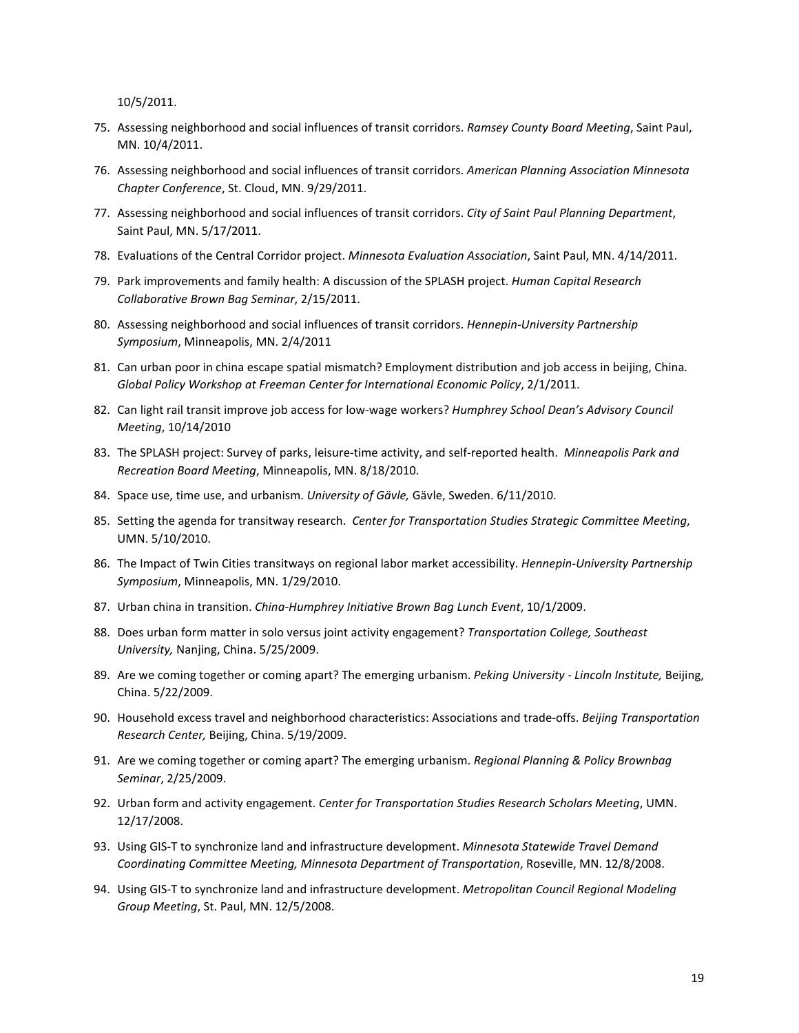10/5/2011.

- 75. Assessing neighborhood and social influences of transit corridors. *Ramsey County Board Meeting*, Saint Paul, MN. 10/4/2011.
- 76. Assessing neighborhood and social influences of transit corridors. *American Planning Association Minnesota Chapter Conference*, St. Cloud, MN. 9/29/2011.
- 77. Assessing neighborhood and social influences of transit corridors. *City of Saint Paul Planning Department*, Saint Paul, MN. 5/17/2011.
- 78. Evaluations of the Central Corridor project. *Minnesota Evaluation Association*, Saint Paul, MN. 4/14/2011.
- 79. Park improvements and family health: A discussion of the SPLASH project. *Human Capital Research Collaborative Brown Bag Seminar*, 2/15/2011.
- 80. Assessing neighborhood and social influences of transit corridors. *Hennepin-University Partnership Symposium*, Minneapolis, MN. 2/4/2011
- 81. Can urban poor in china escape spatial mismatch? Employment distribution and job access in beijing, China*. Global Policy Workshop at Freeman Center for International Economic Policy*, 2/1/2011.
- 82. Can light rail transit improve job access for low-wage workers? *Humphrey School Dean's Advisory Council Meeting*, 10/14/2010
- 83. The SPLASH project: Survey of parks, leisure-time activity, and self-reported health. *Minneapolis Park and Recreation Board Meeting*, Minneapolis, MN. 8/18/2010.
- 84. Space use, time use, and urbanism. *University of Gävle,* Gävle, Sweden. 6/11/2010.
- 85. Setting the agenda for transitway research. *Center for Transportation Studies Strategic Committee Meeting*, UMN. 5/10/2010.
- 86. The Impact of Twin Cities transitways on regional labor market accessibility. *Hennepin-University Partnership Symposium*, Minneapolis, MN. 1/29/2010.
- 87. Urban china in transition. *China-Humphrey Initiative Brown Bag Lunch Event*, 10/1/2009.
- 88. Does urban form matter in solo versus joint activity engagement? *Transportation College, Southeast University,* Nanjing, China. 5/25/2009.
- 89. Are we coming together or coming apart? The emerging urbanism. *Peking University - Lincoln Institute,* Beijing, China. 5/22/2009.
- 90. Household excess travel and neighborhood characteristics: Associations and trade-offs. *Beijing Transportation Research Center,* Beijing, China. 5/19/2009.
- 91. Are we coming together or coming apart? The emerging urbanism. *Regional Planning & Policy Brownbag Seminar*, 2/25/2009.
- 92. Urban form and activity engagement. *Center for Transportation Studies Research Scholars Meeting*, UMN. 12/17/2008.
- 93. Using GIS-T to synchronize land and infrastructure development. *Minnesota Statewide Travel Demand Coordinating Committee Meeting, Minnesota Department of Transportation*, Roseville, MN. 12/8/2008.
- 94. Using GIS-T to synchronize land and infrastructure development. *Metropolitan Council Regional Modeling Group Meeting*, St. Paul, MN. 12/5/2008.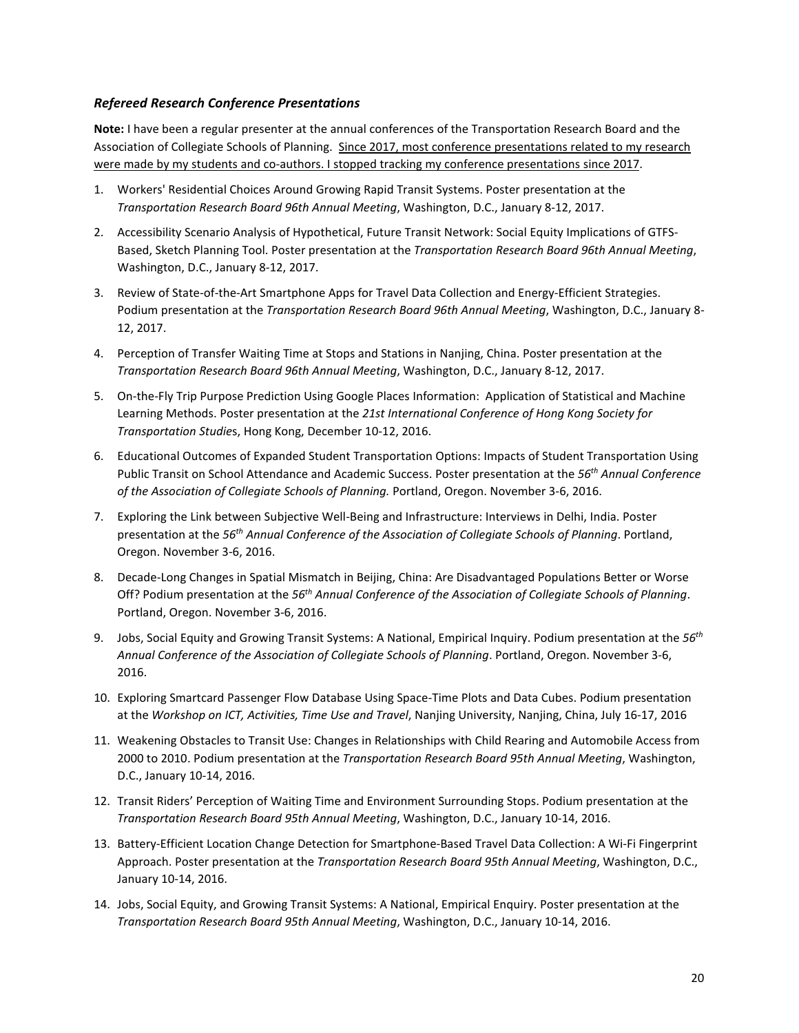## *Refereed Research Conference Presentations*

**Note:** I have been a regular presenter at the annual conferences of the Transportation Research Board and the Association of Collegiate Schools of Planning. Since 2017, most conference presentations related to my research were made by my students and co-authors. I stopped tracking my conference presentations since 2017.

- 1. Workers' Residential Choices Around Growing Rapid Transit Systems. Poster presentation at the *Transportation Research Board 96th Annual Meeting*, Washington, D.C., January 8-12, 2017.
- 2. Accessibility Scenario Analysis of Hypothetical, Future Transit Network: Social Equity Implications of GTFS-Based, Sketch Planning Tool. Poster presentation at the *Transportation Research Board 96th Annual Meeting*, Washington, D.C., January 8-12, 2017.
- 3. Review of State-of-the-Art Smartphone Apps for Travel Data Collection and Energy-Efficient Strategies. Podium presentation at the *Transportation Research Board 96th Annual Meeting*, Washington, D.C., January 8- 12, 2017.
- 4. Perception of Transfer Waiting Time at Stops and Stations in Nanjing, China. Poster presentation at the *Transportation Research Board 96th Annual Meeting*, Washington, D.C., January 8-12, 2017.
- 5. On-the-Fly Trip Purpose Prediction Using Google Places Information: Application of Statistical and Machine Learning Methods. Poster presentation at the *21st International Conference of Hong Kong Society for Transportation Studie*s, Hong Kong, December 10-12, 2016.
- 6. Educational Outcomes of Expanded Student Transportation Options: Impacts of Student Transportation Using Public Transit on School Attendance and Academic Success. Poster presentation at the *56th Annual Conference of the Association of Collegiate Schools of Planning.* Portland, Oregon. November 3-6, 2016.
- 7. Exploring the Link between Subjective Well-Being and Infrastructure: Interviews in Delhi, India. Poster presentation at the *56th Annual Conference of the Association of Collegiate Schools of Planning*. Portland, Oregon. November 3-6, 2016.
- 8. Decade-Long Changes in Spatial Mismatch in Beijing, China: Are Disadvantaged Populations Better or Worse Off? Podium presentation at the *56th Annual Conference of the Association of Collegiate Schools of Planning*. Portland, Oregon. November 3-6, 2016.
- 9. Jobs, Social Equity and Growing Transit Systems: A National, Empirical Inquiry. Podium presentation at the *56th Annual Conference of the Association of Collegiate Schools of Planning*. Portland, Oregon. November 3-6, 2016.
- 10. Exploring Smartcard Passenger Flow Database Using Space-Time Plots and Data Cubes. Podium presentation at the *Workshop on ICT, Activities, Time Use and Travel*, Nanjing University, Nanjing, China, July 16-17, 2016
- 11. Weakening Obstacles to Transit Use: Changes in Relationships with Child Rearing and Automobile Access from 2000 to 2010. Podium presentation at the *Transportation Research Board 95th Annual Meeting*, Washington, D.C., January 10-14, 2016.
- 12. Transit Riders' Perception of Waiting Time and Environment Surrounding Stops. Podium presentation at the *Transportation Research Board 95th Annual Meeting*, Washington, D.C., January 10-14, 2016.
- 13. Battery-Efficient Location Change Detection for Smartphone-Based Travel Data Collection: A Wi-Fi Fingerprint Approach. Poster presentation at the *Transportation Research Board 95th Annual Meeting*, Washington, D.C., January 10-14, 2016.
- 14. Jobs, Social Equity, and Growing Transit Systems: A National, Empirical Enquiry. Poster presentation at the *Transportation Research Board 95th Annual Meeting*, Washington, D.C., January 10-14, 2016.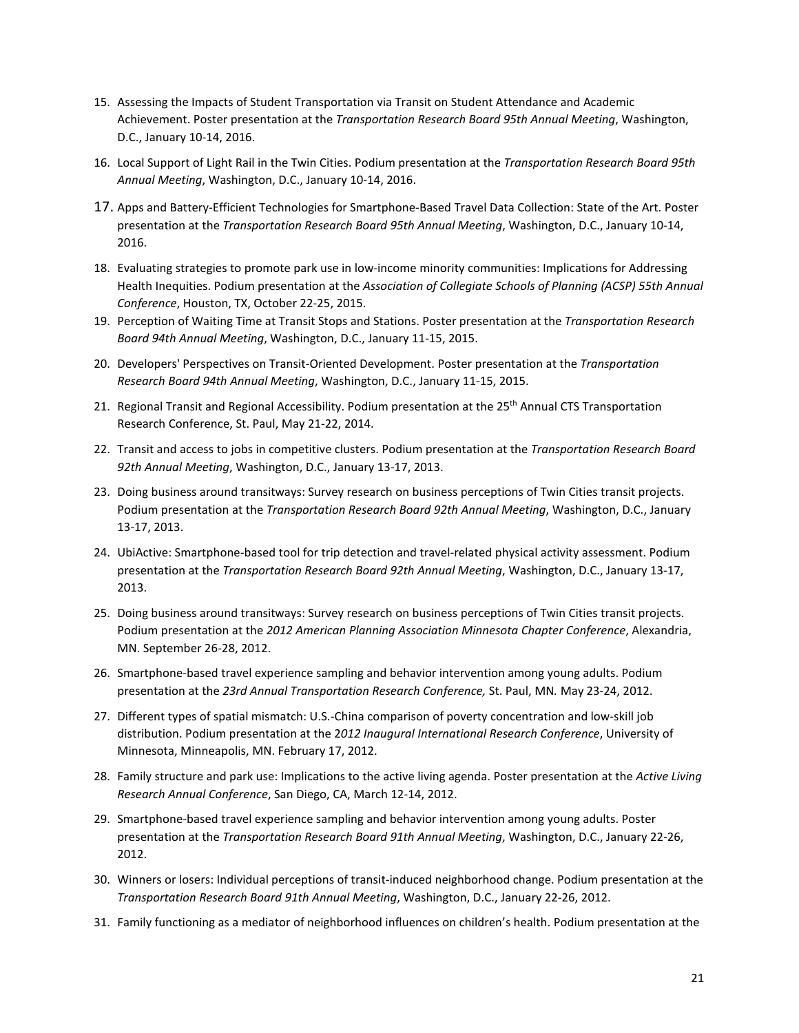- 15. Assessing the Impacts of Student Transportation via Transit on Student Attendance and Academic Achievement. Poster presentation at the *Transportation Research Board 95th Annual Meeting*, Washington, D.C., January 10-14, 2016.
- 16. Local Support of Light Rail in the Twin Cities. Podium presentation at the *Transportation Research Board 95th Annual Meeting*, Washington, D.C., January 10-14, 2016.
- 17. Apps and Battery-Efficient Technologies for Smartphone-Based Travel Data Collection: State of the Art. Poster presentation at the *Transportation Research Board 95th Annual Meeting*, Washington, D.C., January 10-14, 2016.
- 18. Evaluating strategies to promote park use in low-income minority communities: Implications for Addressing Health Inequities. Podium presentation at the *Association of Collegiate Schools of Planning (ACSP) 55th Annual Conference*, Houston, TX, October 22-25, 2015.
- 19. Perception of Waiting Time at Transit Stops and Stations. Poster presentation at the *Transportation Research Board 94th Annual Meeting*, Washington, D.C., January 11-15, 2015.
- 20. Developers' Perspectives on Transit-Oriented Development. Poster presentation at the *Transportation Research Board 94th Annual Meeting*, Washington, D.C., January 11-15, 2015.
- 21. Regional Transit and Regional Accessibility. Podium presentation at the 25<sup>th</sup> Annual CTS Transportation Research Conference, St. Paul, May 21-22, 2014.
- 22. Transit and access to jobs in competitive clusters. Podium presentation at the *Transportation Research Board 92th Annual Meeting*, Washington, D.C., January 13-17, 2013.
- 23. Doing business around transitways: Survey research on business perceptions of Twin Cities transit projects. Podium presentation at the *Transportation Research Board 92th Annual Meeting*, Washington, D.C., January 13-17, 2013.
- 24. UbiActive: Smartphone-based tool for trip detection and travel-related physical activity assessment. Podium presentation at the *Transportation Research Board 92th Annual Meeting*, Washington, D.C., January 13-17, 2013.
- 25. Doing business around transitways: Survey research on business perceptions of Twin Cities transit projects. Podium presentation at the *2012 American Planning Association Minnesota Chapter Conference*, Alexandria, MN. September 26-28, 2012.
- 26. Smartphone-based travel experience sampling and behavior intervention among young adults. Podium presentation at the *23rd Annual Transportation Research Conference,* St. Paul, MN*.* May 23-24, 2012.
- 27. Different types of spatial mismatch: U.S.-China comparison of poverty concentration and low-skill job distribution. Podium presentation at the 2*012 Inaugural International Research Conference*, University of Minnesota, Minneapolis, MN. February 17, 2012.
- 28. Family structure and park use: Implications to the active living agenda. Poster presentation at the *Active Living Research Annual Conference*, San Diego, CA, March 12-14, 2012.
- 29. Smartphone-based travel experience sampling and behavior intervention among young adults. Poster presentation at the *Transportation Research Board 91th Annual Meeting*, Washington, D.C., January 22-26, 2012.
- 30. Winners or losers: Individual perceptions of transit-induced neighborhood change. Podium presentation at the *Transportation Research Board 91th Annual Meeting*, Washington, D.C., January 22-26, 2012.
- 31. Family functioning as a mediator of neighborhood influences on children's health. Podium presentation at the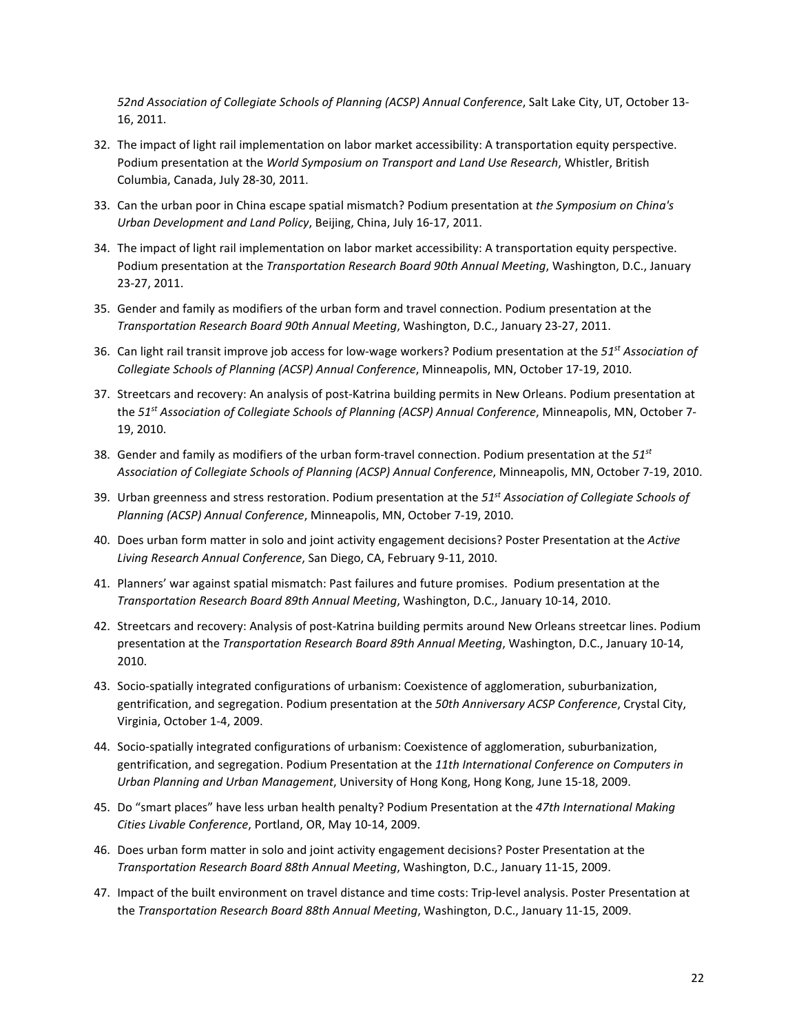*52nd Association of Collegiate Schools of Planning (ACSP) Annual Conference*, Salt Lake City, UT, October 13- 16, 2011.

- 32. The impact of light rail implementation on labor market accessibility: A transportation equity perspective. Podium presentation at the *World Symposium on Transport and Land Use Research*, Whistler, British Columbia, Canada, July 28-30, 2011.
- 33. Can the urban poor in China escape spatial mismatch? Podium presentation at *the Symposium on China's Urban Development and Land Policy*, Beijing, China, July 16-17, 2011.
- 34. The impact of light rail implementation on labor market accessibility: A transportation equity perspective. Podium presentation at the *Transportation Research Board 90th Annual Meeting*, Washington, D.C., January 23-27, 2011.
- 35. Gender and family as modifiers of the urban form and travel connection. Podium presentation at the *Transportation Research Board 90th Annual Meeting*, Washington, D.C., January 23-27, 2011.
- 36. Can light rail transit improve job access for low-wage workers? Podium presentation at the *51st Association of Collegiate Schools of Planning (ACSP) Annual Conference*, Minneapolis, MN, October 17-19, 2010.
- 37. Streetcars and recovery: An analysis of post-Katrina building permits in New Orleans. Podium presentation at the *51st Association of Collegiate Schools of Planning (ACSP) Annual Conference*, Minneapolis, MN, October 7- 19, 2010.
- 38. Gender and family as modifiers of the urban form-travel connection. Podium presentation at the *51st Association of Collegiate Schools of Planning (ACSP) Annual Conference*, Minneapolis, MN, October 7-19, 2010.
- 39. Urban greenness and stress restoration. Podium presentation at the *51st Association of Collegiate Schools of Planning (ACSP) Annual Conference*, Minneapolis, MN, October 7-19, 2010.
- 40. Does urban form matter in solo and joint activity engagement decisions? Poster Presentation at the *Active Living Research Annual Conference*, San Diego, CA, February 9-11, 2010.
- 41. Planners' war against spatial mismatch: Past failures and future promises. Podium presentation at the *Transportation Research Board 89th Annual Meeting*, Washington, D.C., January 10-14, 2010.
- 42. Streetcars and recovery: Analysis of post-Katrina building permits around New Orleans streetcar lines. Podium presentation at the *Transportation Research Board 89th Annual Meeting*, Washington, D.C., January 10-14, 2010.
- 43. Socio-spatially integrated configurations of urbanism: Coexistence of agglomeration, suburbanization, gentrification, and segregation. Podium presentation at the *50th Anniversary ACSP Conference*, Crystal City, Virginia, October 1-4, 2009.
- 44. Socio-spatially integrated configurations of urbanism: Coexistence of agglomeration, suburbanization, gentrification, and segregation. Podium Presentation at the *11th International Conference on Computers in Urban Planning and Urban Management*, University of Hong Kong, Hong Kong, June 15-18, 2009.
- 45. Do "smart places" have less urban health penalty? Podium Presentation at the *47th International Making Cities Livable Conference*, Portland, OR, May 10-14, 2009.
- 46. Does urban form matter in solo and joint activity engagement decisions? Poster Presentation at the *Transportation Research Board 88th Annual Meeting*, Washington, D.C., January 11-15, 2009.
- 47. Impact of the built environment on travel distance and time costs: Trip-level analysis. Poster Presentation at the *Transportation Research Board 88th Annual Meeting*, Washington, D.C., January 11-15, 2009.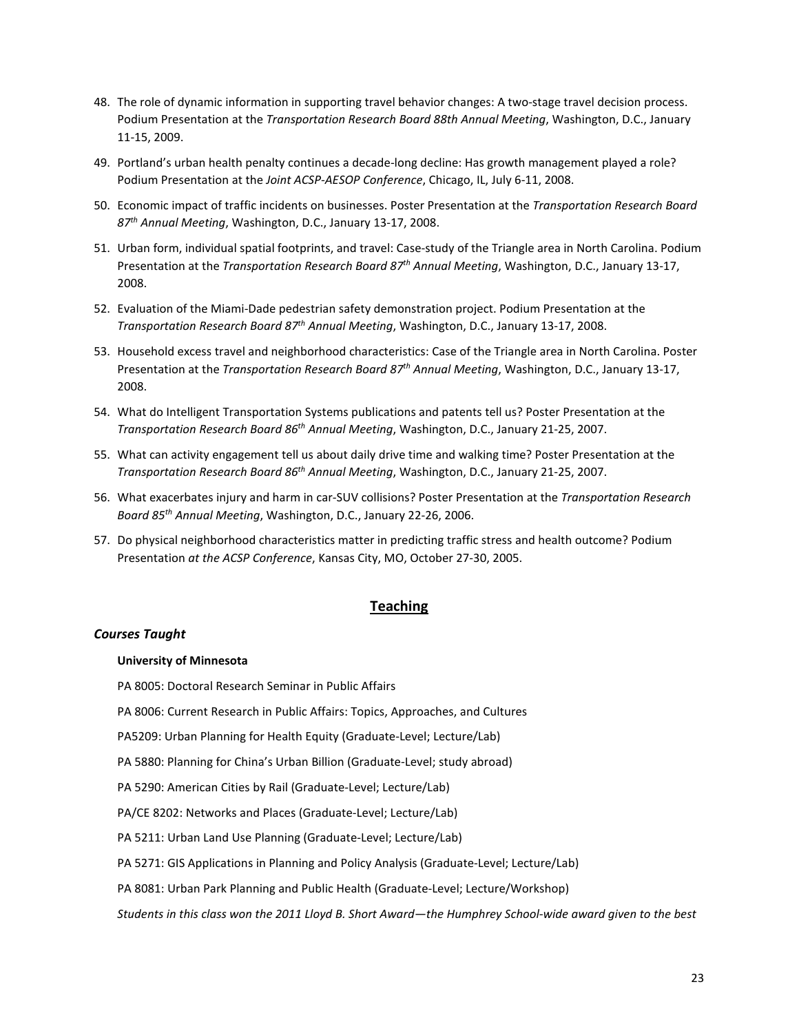- 48. The role of dynamic information in supporting travel behavior changes: A two-stage travel decision process. Podium Presentation at the *Transportation Research Board 88th Annual Meeting*, Washington, D.C., January 11-15, 2009.
- 49. Portland's urban health penalty continues a decade-long decline: Has growth management played a role? Podium Presentation at the *Joint ACSP-AESOP Conference*, Chicago, IL, July 6-11, 2008.
- 50. Economic impact of traffic incidents on businesses. Poster Presentation at the *Transportation Research Board 87th Annual Meeting*, Washington, D.C., January 13-17, 2008.
- 51. Urban form, individual spatial footprints, and travel: Case-study of the Triangle area in North Carolina. Podium Presentation at the *Transportation Research Board 87th Annual Meeting*, Washington, D.C., January 13-17, 2008.
- 52. Evaluation of the Miami-Dade pedestrian safety demonstration project. Podium Presentation at the *Transportation Research Board 87th Annual Meeting*, Washington, D.C., January 13-17, 2008.
- 53. Household excess travel and neighborhood characteristics: Case of the Triangle area in North Carolina. Poster Presentation at the *Transportation Research Board 87th Annual Meeting*, Washington, D.C., January 13-17, 2008.
- 54. What do Intelligent Transportation Systems publications and patents tell us? Poster Presentation at the *Transportation Research Board 86th Annual Meeting*, Washington, D.C., January 21-25, 2007.
- 55. What can activity engagement tell us about daily drive time and walking time? Poster Presentation at the *Transportation Research Board 86th Annual Meeting*, Washington, D.C., January 21-25, 2007.
- 56. What exacerbates injury and harm in car-SUV collisions? Poster Presentation at the *Transportation Research Board 85th Annual Meeting*, Washington, D.C., January 22-26, 2006.
- 57. Do physical neighborhood characteristics matter in predicting traffic stress and health outcome? Podium Presentation *at the ACSP Conference*, Kansas City, MO, October 27-30, 2005.

## **Teaching**

## *Courses Taught*

#### **University of Minnesota**

PA 8005: Doctoral Research Seminar in Public Affairs

PA 8006: Current Research in Public Affairs: Topics, Approaches, and Cultures

PA5209: Urban Planning for Health Equity (Graduate-Level; Lecture/Lab)

PA 5880: Planning for China's Urban Billion (Graduate-Level; study abroad)

PA 5290: American Cities by Rail (Graduate-Level; Lecture/Lab)

PA/CE 8202: Networks and Places (Graduate-Level; Lecture/Lab)

PA 5211: Urban Land Use Planning (Graduate-Level; Lecture/Lab)

PA 5271: GIS Applications in Planning and Policy Analysis (Graduate-Level; Lecture/Lab)

PA 8081: Urban Park Planning and Public Health (Graduate-Level; Lecture/Workshop)

*Students in this class won the 2011 Lloyd B. Short Award—the Humphrey School-wide award given to the best*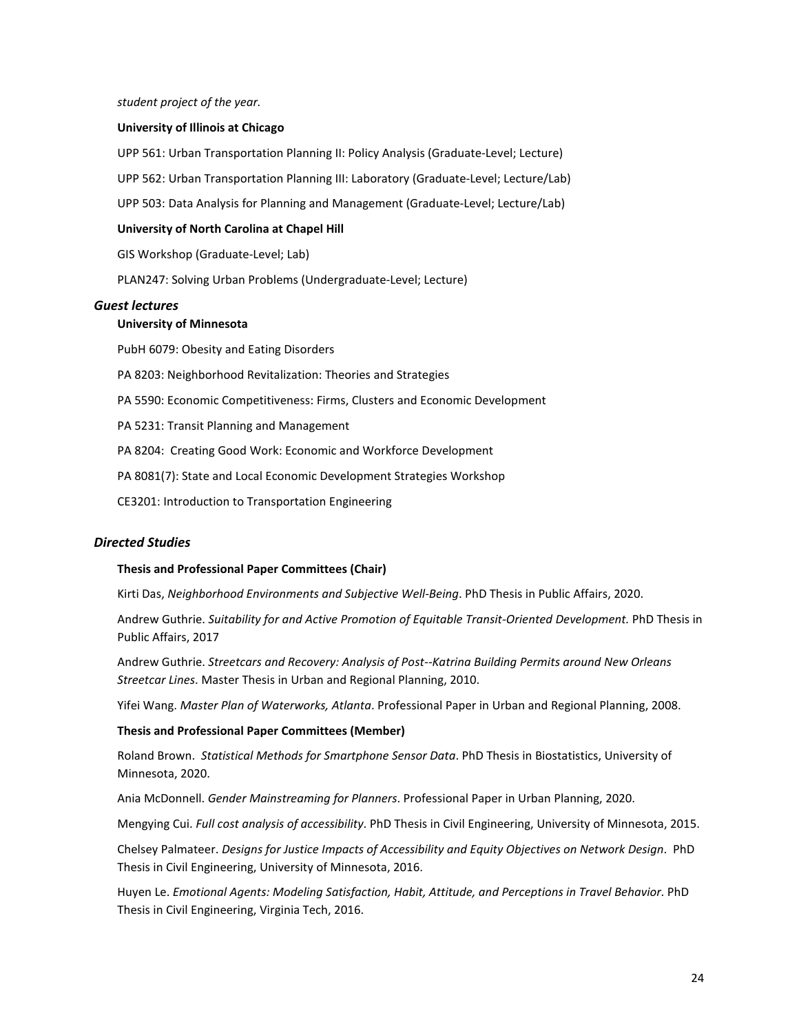*student project of the year.*

#### **University of Illinois at Chicago**

UPP 561: Urban Transportation Planning II: Policy Analysis (Graduate-Level; Lecture)

UPP 562: Urban Transportation Planning III: Laboratory (Graduate-Level; Lecture/Lab)

UPP 503: Data Analysis for Planning and Management (Graduate-Level; Lecture/Lab)

#### **University of North Carolina at Chapel Hill**

GIS Workshop (Graduate-Level; Lab)

PLAN247: Solving Urban Problems (Undergraduate-Level; Lecture)

#### *Guest lectures*

#### **University of Minnesota**

PubH 6079: Obesity and Eating Disorders

PA 8203: Neighborhood Revitalization: Theories and Strategies

PA 5590: Economic Competitiveness: Firms, Clusters and Economic Development

PA 5231: Transit Planning and Management

PA 8204: Creating Good Work: Economic and Workforce Development

PA 8081(7): State and Local Economic Development Strategies Workshop

CE3201: Introduction to Transportation Engineering

#### *Directed Studies*

#### **Thesis and Professional Paper Committees (Chair)**

Kirti Das, *Neighborhood Environments and Subjective Well-Being*. PhD Thesis in Public Affairs, 2020.

Andrew Guthrie. *Suitability for and Active Promotion of Equitable Transit-Oriented Development.* PhD Thesis in Public Affairs, 2017

Andrew Guthrie. *Streetcars and Recovery: Analysis of Post--Katrina Building Permits around New Orleans Streetcar Lines*. Master Thesis in Urban and Regional Planning, 2010.

Yifei Wang. *Master Plan of Waterworks, Atlanta*. Professional Paper in Urban and Regional Planning, 2008.

#### **Thesis and Professional Paper Committees (Member)**

Roland Brown. *Statistical Methods for Smartphone Sensor Data*. PhD Thesis in Biostatistics, University of Minnesota, 2020.

Ania McDonnell. *Gender Mainstreaming for Planners*. Professional Paper in Urban Planning, 2020.

Mengying Cui. *Full cost analysis of accessibility*. PhD Thesis in Civil Engineering, University of Minnesota, 2015.

Chelsey Palmateer. *Designs for Justice Impacts of Accessibility and Equity Objectives on Network Design*. PhD Thesis in Civil Engineering, University of Minnesota, 2016.

Huyen Le. *Emotional Agents: Modeling Satisfaction, Habit, Attitude, and Perceptions in Travel Behavior*. PhD Thesis in Civil Engineering, Virginia Tech, 2016.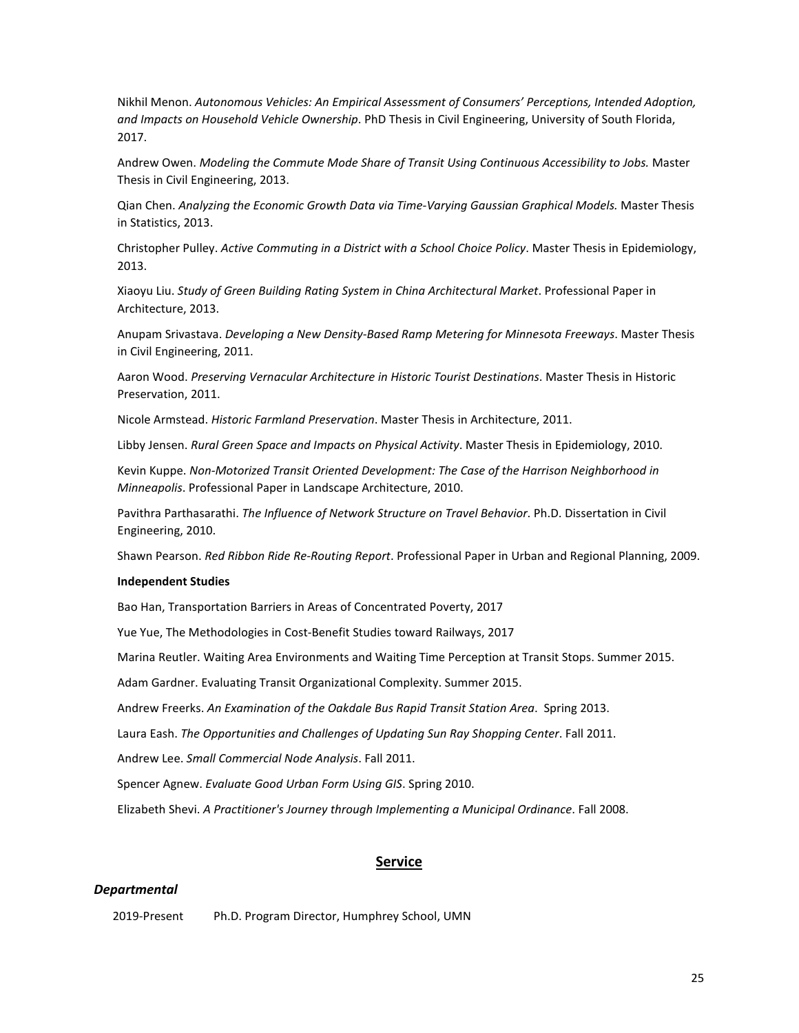Nikhil Menon. *Autonomous Vehicles: An Empirical Assessment of Consumers' Perceptions, Intended Adoption, and Impacts on Household Vehicle Ownership*. PhD Thesis in Civil Engineering, University of South Florida, 2017.

Andrew Owen. *Modeling the Commute Mode Share of Transit Using Continuous Accessibility to Jobs.* Master Thesis in Civil Engineering, 2013.

Qian Chen. *Analyzing the Economic Growth Data via Time-Varying Gaussian Graphical Models.* Master Thesis in Statistics, 2013.

Christopher Pulley. *Active Commuting in a District with a School Choice Policy*. Master Thesis in Epidemiology, 2013.

Xiaoyu Liu. *Study of Green Building Rating System in China Architectural Market*. Professional Paper in Architecture, 2013.

Anupam Srivastava. *Developing a New Density-Based Ramp Metering for Minnesota Freeways*. Master Thesis in Civil Engineering, 2011.

Aaron Wood. *Preserving Vernacular Architecture in Historic Tourist Destinations*. Master Thesis in Historic Preservation, 2011.

Nicole Armstead. *Historic Farmland Preservation*. Master Thesis in Architecture, 2011.

Libby Jensen. *Rural Green Space and Impacts on Physical Activity*. Master Thesis in Epidemiology, 2010.

Kevin Kuppe. *Non-Motorized Transit Oriented Development: The Case of the Harrison Neighborhood in Minneapolis*. Professional Paper in Landscape Architecture, 2010.

Pavithra Parthasarathi. *The Influence of Network Structure on Travel Behavior*. Ph.D. Dissertation in Civil Engineering, 2010.

Shawn Pearson. *Red Ribbon Ride Re-Routing Report*. Professional Paper in Urban and Regional Planning, 2009.

#### **Independent Studies**

Bao Han, Transportation Barriers in Areas of Concentrated Poverty, 2017

Yue Yue, The Methodologies in Cost-Benefit Studies toward Railways, 2017

Marina Reutler. Waiting Area Environments and Waiting Time Perception at Transit Stops. Summer 2015.

Adam Gardner. Evaluating Transit Organizational Complexity. Summer 2015.

Andrew Freerks. *An Examination of the Oakdale Bus Rapid Transit Station Area*. Spring 2013.

Laura Eash. *The Opportunities and Challenges of Updating Sun Ray Shopping Center*. Fall 2011.

Andrew Lee. *Small Commercial Node Analysis*. Fall 2011.

Spencer Agnew. *Evaluate Good Urban Form Using GIS*. Spring 2010.

Elizabeth Shevi. *A Practitioner's Journey through Implementing a Municipal Ordinance*. Fall 2008.

## **Service**

## *Departmental*

2019-Present Ph.D. Program Director, Humphrey School, UMN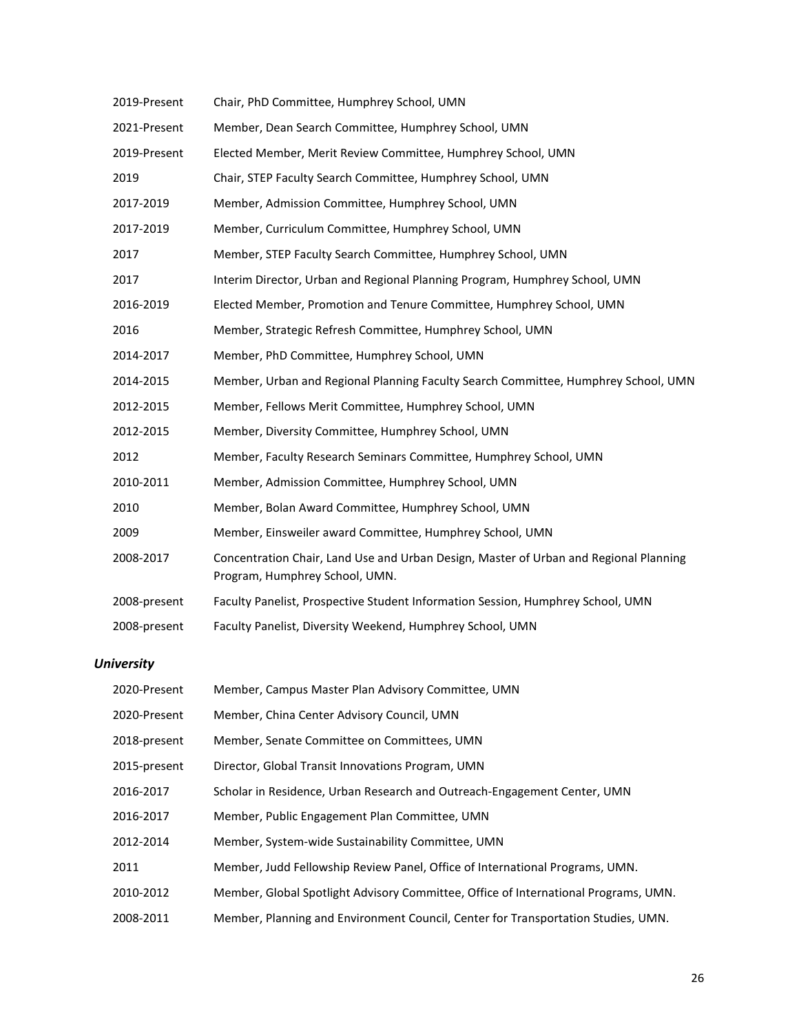| 2019-Present | Chair, PhD Committee, Humphrey School, UMN                                                                              |
|--------------|-------------------------------------------------------------------------------------------------------------------------|
| 2021-Present | Member, Dean Search Committee, Humphrey School, UMN                                                                     |
| 2019-Present | Elected Member, Merit Review Committee, Humphrey School, UMN                                                            |
| 2019         | Chair, STEP Faculty Search Committee, Humphrey School, UMN                                                              |
| 2017-2019    | Member, Admission Committee, Humphrey School, UMN                                                                       |
| 2017-2019    | Member, Curriculum Committee, Humphrey School, UMN                                                                      |
| 2017         | Member, STEP Faculty Search Committee, Humphrey School, UMN                                                             |
| 2017         | Interim Director, Urban and Regional Planning Program, Humphrey School, UMN                                             |
| 2016-2019    | Elected Member, Promotion and Tenure Committee, Humphrey School, UMN                                                    |
| 2016         | Member, Strategic Refresh Committee, Humphrey School, UMN                                                               |
| 2014-2017    | Member, PhD Committee, Humphrey School, UMN                                                                             |
| 2014-2015    | Member, Urban and Regional Planning Faculty Search Committee, Humphrey School, UMN                                      |
| 2012-2015    | Member, Fellows Merit Committee, Humphrey School, UMN                                                                   |
| 2012-2015    | Member, Diversity Committee, Humphrey School, UMN                                                                       |
| 2012         | Member, Faculty Research Seminars Committee, Humphrey School, UMN                                                       |
| 2010-2011    | Member, Admission Committee, Humphrey School, UMN                                                                       |
| 2010         | Member, Bolan Award Committee, Humphrey School, UMN                                                                     |
| 2009         | Member, Einsweiler award Committee, Humphrey School, UMN                                                                |
| 2008-2017    | Concentration Chair, Land Use and Urban Design, Master of Urban and Regional Planning<br>Program, Humphrey School, UMN. |
| 2008-present | Faculty Panelist, Prospective Student Information Session, Humphrey School, UMN                                         |
| 2008-present | Faculty Panelist, Diversity Weekend, Humphrey School, UMN                                                               |
|              |                                                                                                                         |

# *University*

| 2020-Present | Member, Campus Master Plan Advisory Committee, UMN                                  |
|--------------|-------------------------------------------------------------------------------------|
| 2020-Present | Member, China Center Advisory Council, UMN                                          |
| 2018-present | Member, Senate Committee on Committees, UMN                                         |
| 2015-present | Director, Global Transit Innovations Program, UMN                                   |
| 2016-2017    | Scholar in Residence, Urban Research and Outreach-Engagement Center, UMN            |
| 2016-2017    | Member, Public Engagement Plan Committee, UMN                                       |
| 2012-2014    | Member, System-wide Sustainability Committee, UMN                                   |
| 2011         | Member, Judd Fellowship Review Panel, Office of International Programs, UMN.        |
| 2010-2012    | Member, Global Spotlight Advisory Committee, Office of International Programs, UMN. |
| 2008-2011    | Member, Planning and Environment Council, Center for Transportation Studies, UMN.   |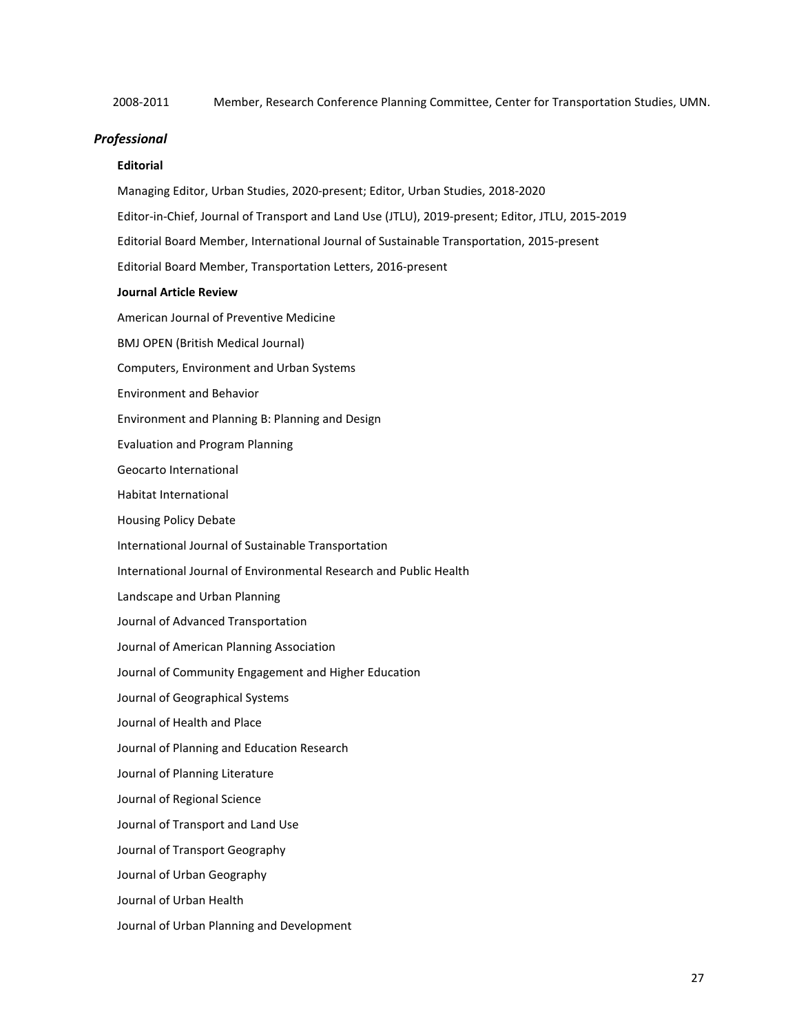2008-2011 Member, Research Conference Planning Committee, Center for Transportation Studies, UMN.

#### *Professional*

## **Editorial**

Managing Editor, Urban Studies, 2020-present; Editor, Urban Studies, 2018-2020 Editor-in-Chief, Journal of Transport and Land Use (JTLU), 2019-present; Editor, JTLU, 2015-2019 Editorial Board Member, International Journal of Sustainable Transportation, 2015-present Editorial Board Member, Transportation Letters, 2016-present **Journal Article Review** American Journal of Preventive Medicine BMJ OPEN (British Medical Journal) Computers, Environment and Urban Systems Environment and Behavior Environment and Planning B: Planning and Design Evaluation and Program Planning Geocarto International Habitat International Housing Policy Debate International Journal of Sustainable Transportation International Journal of Environmental Research and Public Health Landscape and Urban Planning Journal of Advanced Transportation Journal of American Planning Association Journal of Community Engagement and Higher Education Journal of Geographical Systems Journal of Health and Place Journal of Planning and Education Research Journal of Planning Literature Journal of Regional Science Journal of Transport and Land Use Journal of Transport Geography Journal of Urban Geography Journal of Urban Health Journal of Urban Planning and Development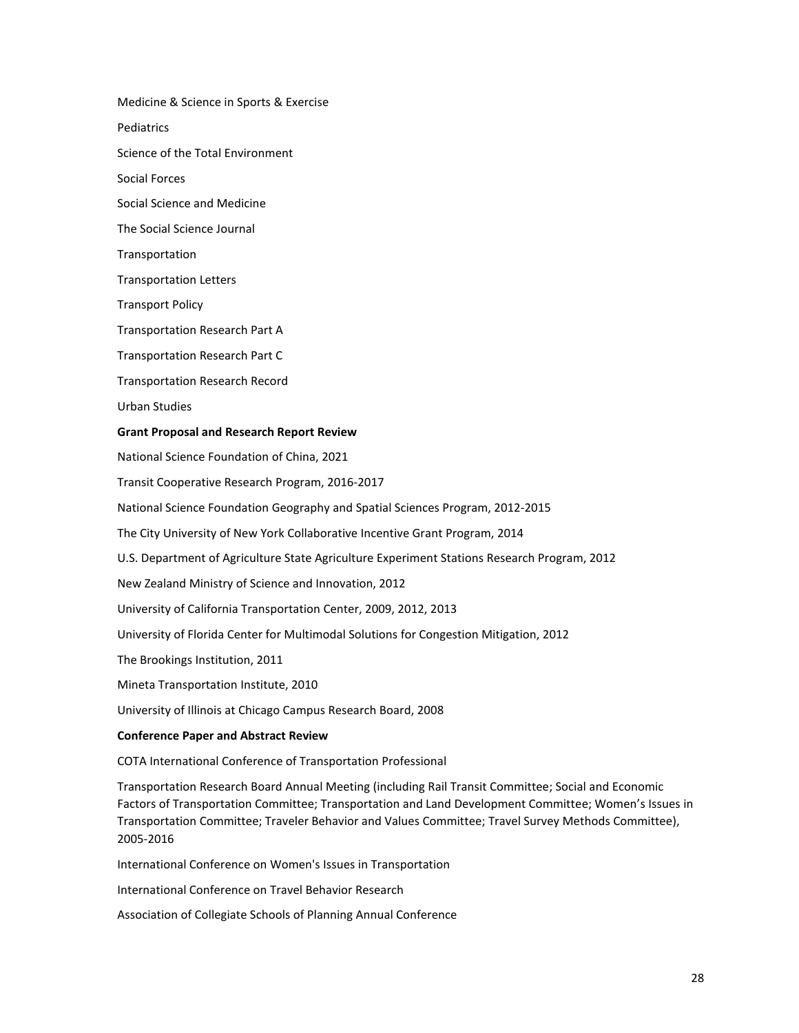Medicine & Science in Sports & Exercise

**Pediatrics** 

Science of the Total Environment

Social Forces

Social Science and Medicine

The Social Science Journal

Transportation

Transportation Letters

Transport Policy

Transportation Research Part A

Transportation Research Part C

Transportation Research Record

Urban Studies

#### **Grant Proposal and Research Report Review**

National Science Foundation of China, 2021

Transit Cooperative Research Program, 2016-2017

National Science Foundation Geography and Spatial Sciences Program, 2012-2015

The City University of New York Collaborative Incentive Grant Program, 2014

U.S. Department of Agriculture State Agriculture Experiment Stations Research Program, 2012

New Zealand Ministry of Science and Innovation, 2012

University of California Transportation Center, 2009, 2012, 2013

University of Florida Center for Multimodal Solutions for Congestion Mitigation, 2012

The Brookings Institution, 2011

Mineta Transportation Institute, 2010

University of Illinois at Chicago Campus Research Board, 2008

#### **Conference Paper and Abstract Review**

COTA International Conference of Transportation Professional

Transportation Research Board Annual Meeting (including Rail Transit Committee; Social and Economic Factors of Transportation Committee; Transportation and Land Development Committee; Women's Issues in Transportation Committee; Traveler Behavior and Values Committee; Travel Survey Methods Committee), 2005-2016

International Conference on Women's Issues in Transportation

International Conference on Travel Behavior Research

Association of Collegiate Schools of Planning Annual Conference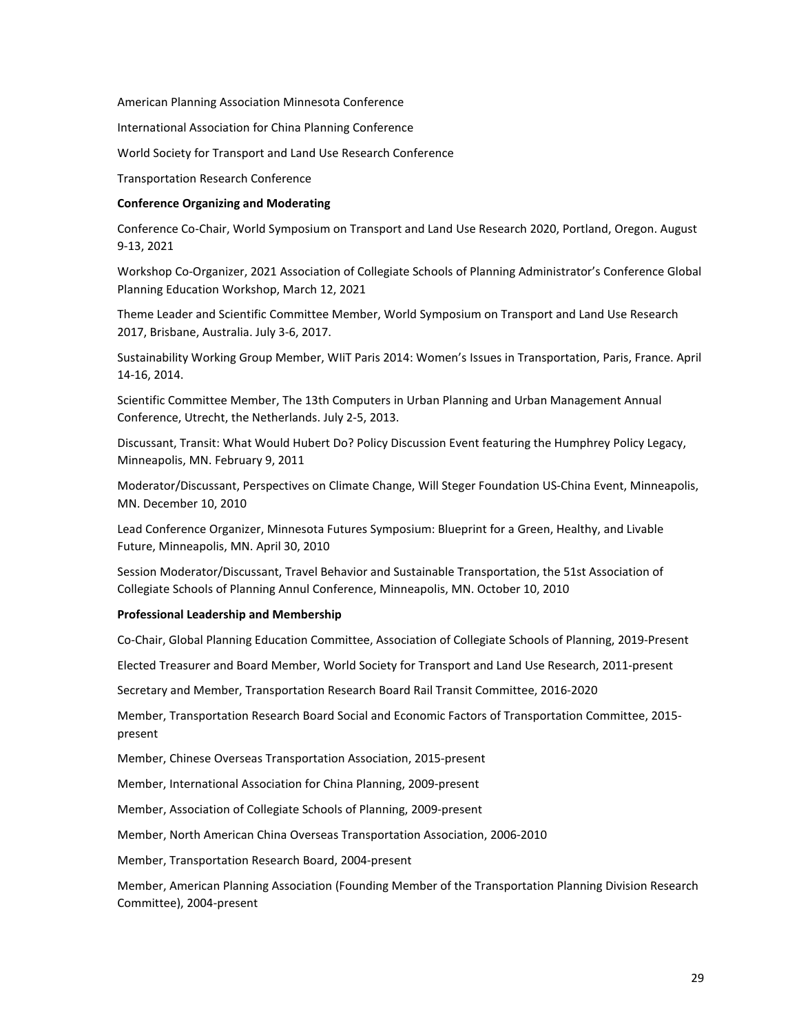American Planning Association Minnesota Conference

International Association for China Planning Conference

World Society for Transport and Land Use Research Conference

Transportation Research Conference

#### **Conference Organizing and Moderating**

Conference Co-Chair, World Symposium on Transport and Land Use Research 2020, Portland, Oregon. August 9-13, 2021

Workshop Co-Organizer, 2021 Association of Collegiate Schools of Planning Administrator's Conference Global Planning Education Workshop, March 12, 2021

Theme Leader and Scientific Committee Member, World Symposium on Transport and Land Use Research 2017, Brisbane, Australia. July 3-6, 2017.

Sustainability Working Group Member, WIiT Paris 2014: Women's Issues in Transportation, Paris, France. April 14-16, 2014.

Scientific Committee Member, The 13th Computers in Urban Planning and Urban Management Annual Conference, Utrecht, the Netherlands. July 2-5, 2013.

Discussant, Transit: What Would Hubert Do? Policy Discussion Event featuring the Humphrey Policy Legacy, Minneapolis, MN. February 9, 2011

Moderator/Discussant, Perspectives on Climate Change, Will Steger Foundation US-China Event, Minneapolis, MN. December 10, 2010

Lead Conference Organizer, Minnesota Futures Symposium: Blueprint for a Green, Healthy, and Livable Future, Minneapolis, MN. April 30, 2010

Session Moderator/Discussant, Travel Behavior and Sustainable Transportation, the 51st Association of Collegiate Schools of Planning Annul Conference, Minneapolis, MN. October 10, 2010

#### **Professional Leadership and Membership**

Co-Chair, Global Planning Education Committee, Association of Collegiate Schools of Planning, 2019-Present

Elected Treasurer and Board Member, World Society for Transport and Land Use Research, 2011-present

Secretary and Member, Transportation Research Board Rail Transit Committee, 2016-2020

Member, Transportation Research Board Social and Economic Factors of Transportation Committee, 2015 present

Member, Chinese Overseas Transportation Association, 2015-present

Member, International Association for China Planning, 2009-present

Member, Association of Collegiate Schools of Planning, 2009-present

Member, North American China Overseas Transportation Association, 2006-2010

Member, Transportation Research Board, 2004-present

Member, American Planning Association (Founding Member of the Transportation Planning Division Research Committee), 2004-present